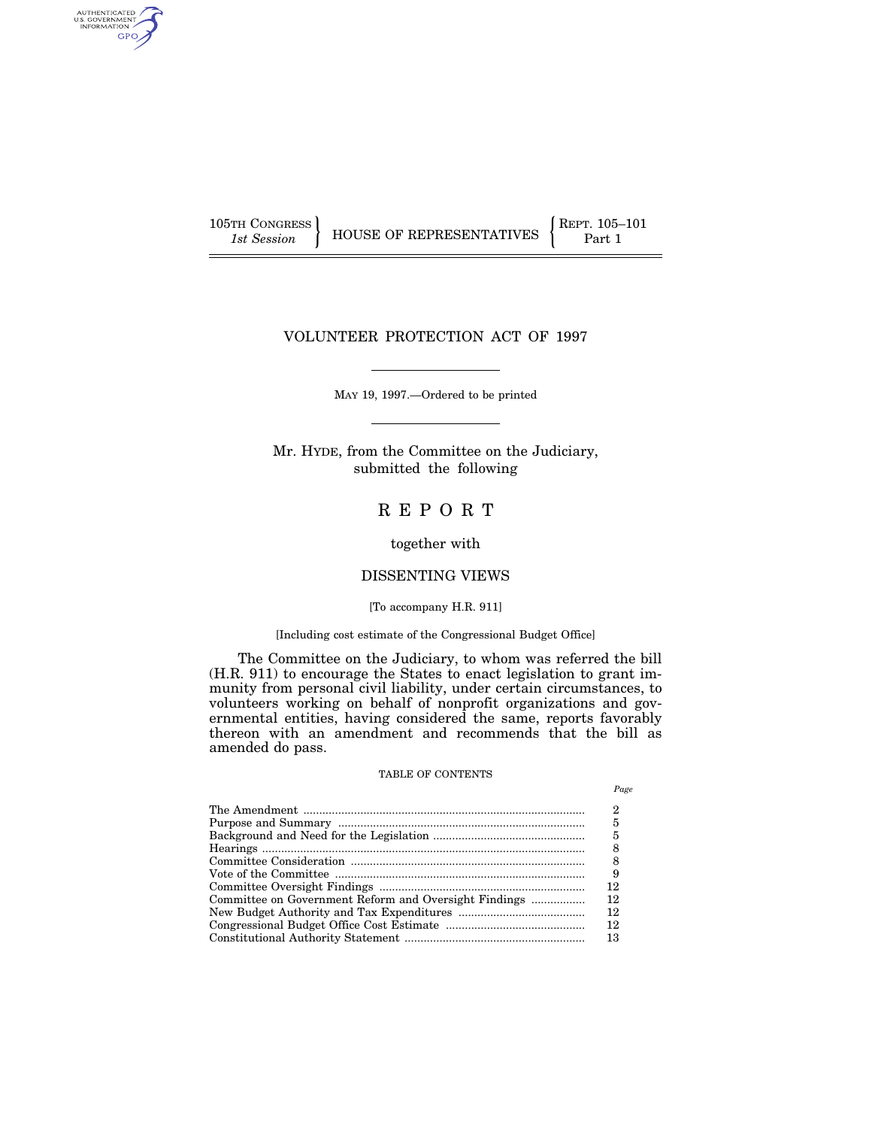AUTHENTICATED<br>U.S. GOVERNMENT<br>INFORMATION GPO

105TH CONGRESS **REPRESENTATIVES** REPRESENTATIVES **Part 1** 

*Page*

# VOLUNTEER PROTECTION ACT OF 1997

MAY 19, 1997.—Ordered to be printed

Mr. HYDE, from the Committee on the Judiciary, submitted the following

# R E P O R T

together with

# DISSENTING VIEWS

### [To accompany H.R. 911]

### [Including cost estimate of the Congressional Budget Office]

The Committee on the Judiciary, to whom was referred the bill (H.R. 911) to encourage the States to enact legislation to grant immunity from personal civil liability, under certain circumstances, to volunteers working on behalf of nonprofit organizations and governmental entities, having considered the same, reports favorably thereon with an amendment and recommends that the bill as amended do pass.

### TABLE OF CONTENTS

| 2  |
|----|
| 5  |
| -5 |
| 8  |
| 8  |
| 9  |
| 12 |
| 12 |
| 12 |
| 12 |
| 13 |
|    |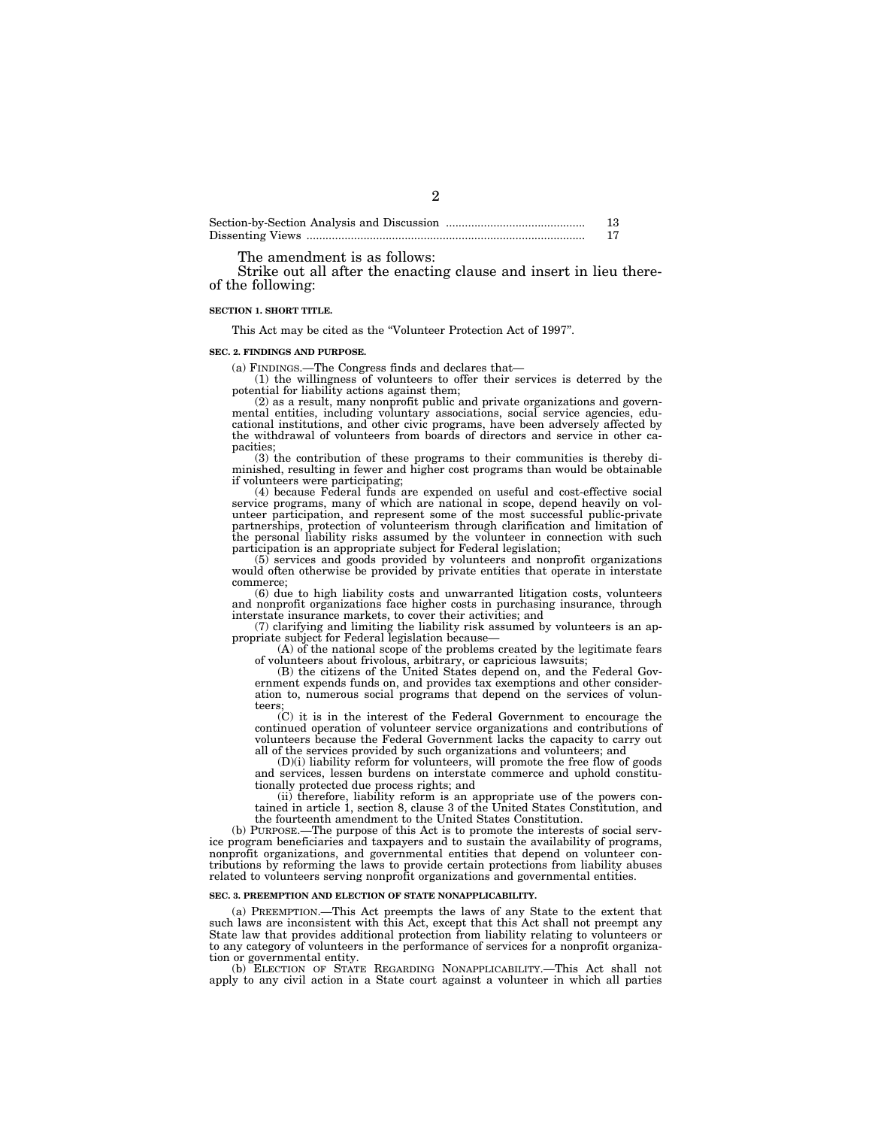| 13 |
|----|
| 17 |

#### The amendment is as follows:

Strike out all after the enacting clause and insert in lieu thereof the following:

#### **SECTION 1. SHORT TITLE.**

This Act may be cited as the ''Volunteer Protection Act of 1997''.

#### **SEC. 2. FINDINGS AND PURPOSE.**

(a) FINDINGS.—The Congress finds and declares that—

(1) the willingness of volunteers to offer their services is deterred by the potential for liability actions against them;

(2) as a result, many nonprofit public and private organizations and governmental entities, including voluntary associations, social service agencies, educational institutions, and other civic programs, have been adversely affected by the withdrawal of volunteers from boards of directors and service in other capacities;

(3) the contribution of these programs to their communities is thereby di-minished, resulting in fewer and higher cost programs than would be obtainable if volunteers were participating;

(4) because Federal funds are expended on useful and cost-effective social service programs, many of which are national in scope, depend heavily on volunteer participation, and represent some of the most successful public-private partnerships, protection of volunteerism through clarification and limitation of the personal liability risks assumed by the volunteer in connection with such participation is an appropriate subject for Federal legislation;

(5) services and goods provided by volunteers and nonprofit organizations would often otherwise be provided by private entities that operate in interstate commerce;

(6) due to high liability costs and unwarranted litigation costs, volunteers and nonprofit organizations face higher costs in purchasing insurance, through interstate insurance markets, to cover their activities; and

(7) clarifying and limiting the liability risk assumed by volunteers is an appropriate subject for Federal legislation because—

(A) of the national scope of the problems created by the legitimate fears of volunteers about frivolous, arbitrary, or capricious lawsuits;

(B) the citizens of the United States depend on, and the Federal Government expends funds on, and provides tax exemptions and other consideration to, numerous social programs that depend on the services of volunteers;

(C) it is in the interest of the Federal Government to encourage the continued operation of volunteer service organizations and contributions of volunteers because the Federal Government lacks the capacity to carry out all of the services provided by such organizations and volunteers; and

(D)(i) liability reform for volunteers, will promote the free flow of goods and services, lessen burdens on interstate commerce and uphold constitutionally protected due process rights; and

(ii) therefore, liability reform is an appropriate use of the powers contained in article 1, section 8, clause 3 of the United States Constitution, and the fourteenth amendment to the United States Constitution.

(b) PURPOSE.—The purpose of this Act is to promote the interests of social service program beneficiaries and taxpayers and to sustain the availability of programs, nonprofit organizations, and governmental entities that depend on volunteer contributions by reforming the laws to provide certain protections from liability abuses related to volunteers serving nonprofit organizations and governmental entities.

#### **SEC. 3. PREEMPTION AND ELECTION OF STATE NONAPPLICABILI**

(a) PREEMPTION.—This Act preempts the laws of any State to the extent that such laws are inconsistent with this Act, except that this Act shall not preempt any State law that provides additional protection from liability relating to volunteers or to any category of volunteers in the performance of services for a nonprofit organization or governmental entity.

(b) ELECTION OF STATE REGARDING NONAPPLICABILITY.—This Act shall not apply to any civil action in a State court against a volunteer in which all parties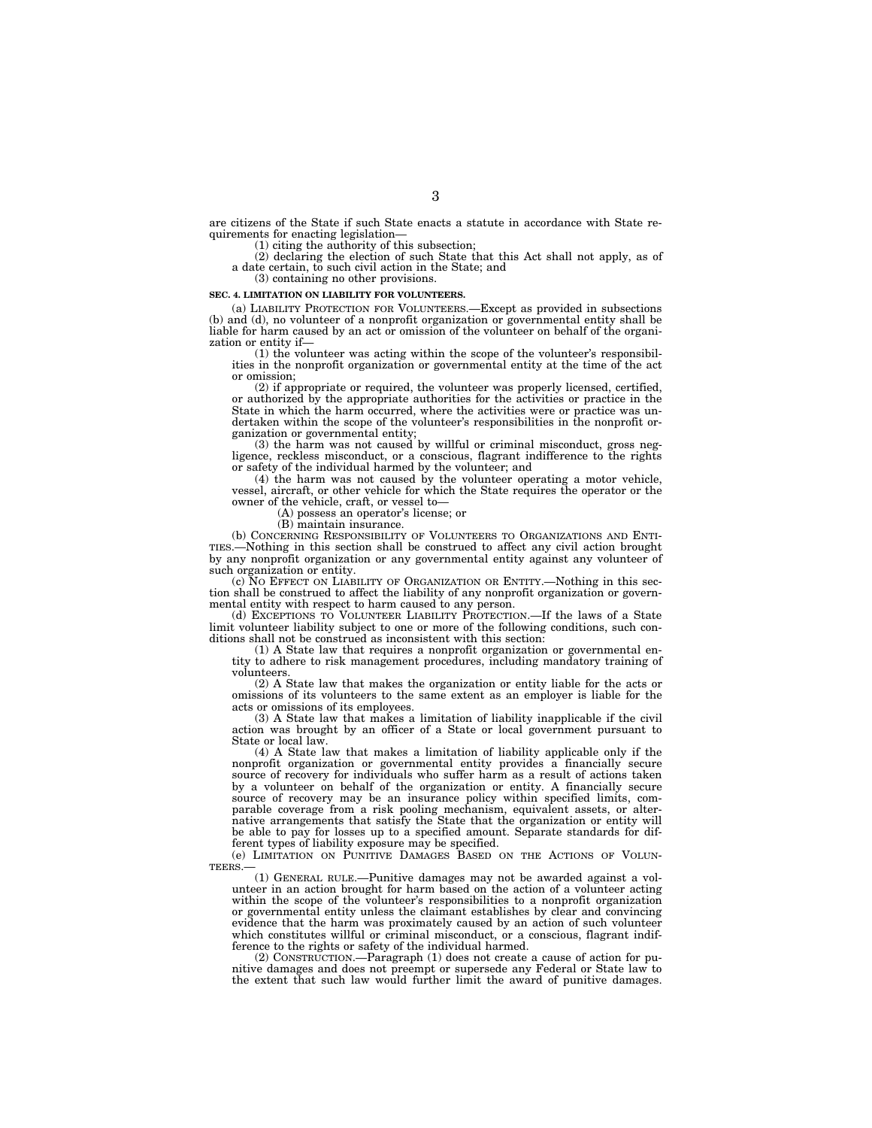are citizens of the State if such State enacts a statute in accordance with State requirements for enacting legislation—

(1) citing the authority of this subsection;

(2) declaring the election of such State that this Act shall not apply, as of a date certain, to such civil action in the State; and

(3) containing no other provisions.

#### **SEC. 4. LIMITATION ON LIABILITY FOR VOLUNTEERS.**

(a) LIABILITY PROTECTION FOR VOLUNTEERS.—Except as provided in subsections (b) and (d), no volunteer of a nonprofit organization or governmental entity shall be liable for harm caused by an act or omission of the volunteer on behalf of the organization or entity if—

(1) the volunteer was acting within the scope of the volunteer's responsibilities in the nonprofit organization or governmental entity at the time of the act or omission;

(2) if appropriate or required, the volunteer was properly licensed, certified, or authorized by the appropriate authorities for the activities or practice in the State in which the harm occurred, where the activities were or practice was undertaken within the scope of the volunteer's responsibilities in the nonprofit organization or governmental entity;

(3) the harm was not caused by willful or criminal misconduct, gross negligence, reckless misconduct, or a conscious, flagrant indifference to the rights or safety of the individual harmed by the volunteer; and

(4) the harm was not caused by the volunteer operating a motor vehicle, vessel, aircraft, or other vehicle for which the State requires the operator or the owner of the vehicle, craft, or vessel to—

(A) possess an operator's license; or

(B) maintain insurance.

(b) CONCERNING RESPONSIBILITY OF VOLUNTEERS TO ORGANIZATIONS AND ENTI-TIES.—Nothing in this section shall be construed to affect any civil action brought by any nonprofit organization or any governmental entity against any volunteer of such organization or entity.

(c) NO EFFECT ON LIABILITY OF ORGANIZATION OR ENTITY.—Nothing in this section shall be construed to affect the liability of any nonprofit organization or governmental entity with respect to harm caused to any person.

(d) EXCEPTIONS TO VOLUNTEER LIABILITY PROTECTION.—If the laws of a State limit volunteer liability subject to one or more of the following conditions, such conditions shall not be construed as inconsistent with this section:

(1) A State law that requires a nonprofit organization or governmental entity to adhere to risk management procedures, including mandatory training of volunteers.

(2) A State law that makes the organization or entity liable for the acts or omissions of its volunteers to the same extent as an employer is liable for the acts or omissions of its employees.

(3) A State law that makes a limitation of liability inapplicable if the civil action was brought by an officer of a State or local government pursuant to State or local law.

(4) A State law that makes a limitation of liability applicable only if the nonprofit organization or governmental entity provides a financially secure source of recovery for individuals who suffer harm as a result of actions taken by a volunteer on behalf of the organization or entity. A financially secure source of recovery may be an insurance policy within specified limits, comparable coverage from a risk pooling mechanism, equivalent assets, or alternative arrangements that satisfy the State that the organization or entity will be able to pay for losses up to a specified amount. Separate standards for different types of liability exposure may be specified.

(e) LIMITATION ON PUNITIVE DAMAGES BASED ON THE ACTIONS OF VOLUN-TEERS.—

(1) GENERAL RULE.—Punitive damages may not be awarded against a volunteer in an action brought for harm based on the action of a volunteer acting within the scope of the volunteer's responsibilities to a nonprofit organization or governmental entity unless the claimant establishes by clear and convincing evidence that the harm was proximately caused by an action of such volunteer which constitutes willful or criminal misconduct, or a conscious, flagrant indifference to the rights or safety of the individual harmed.

(2) CONSTRUCTION.—Paragraph (1) does not create a cause of action for punitive damages and does not preempt or supersede any Federal or State law to the extent that such law would further limit the award of punitive damages.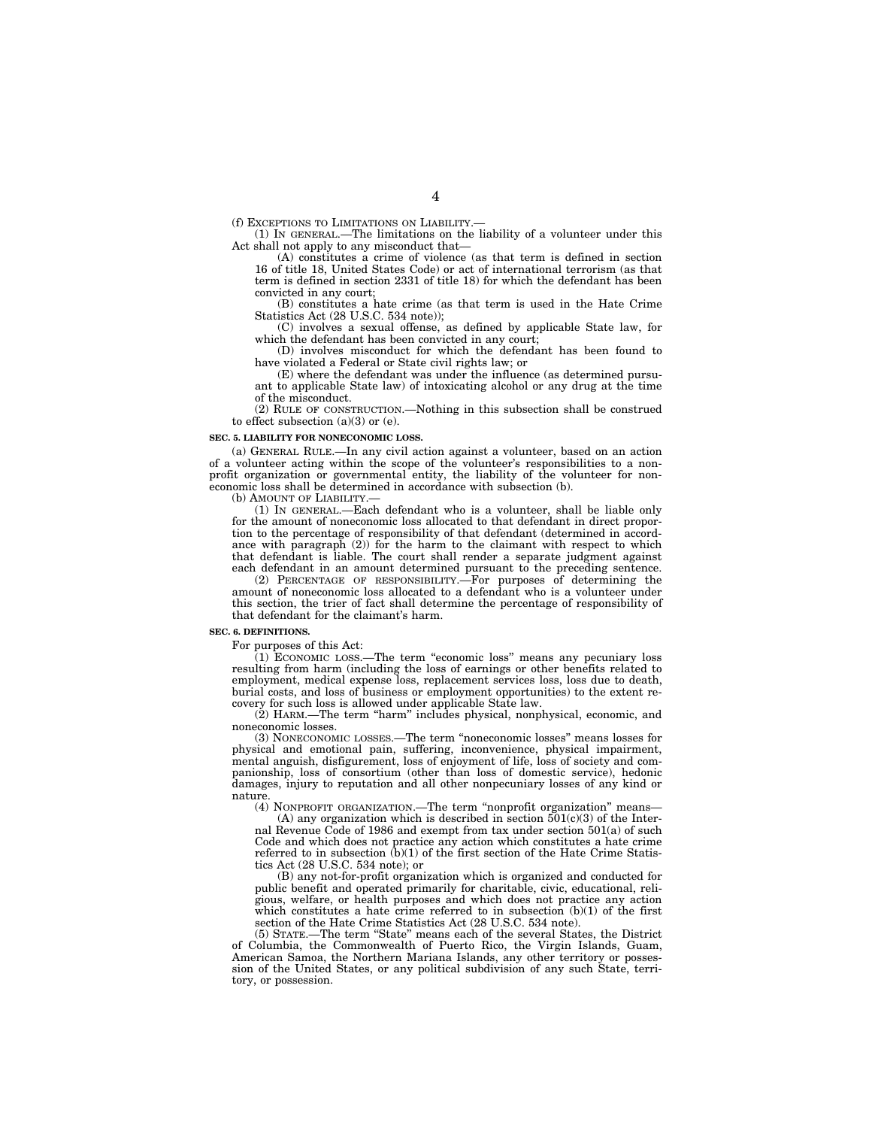(f) EXCEPTIONS TO LIMITATIONS ON LIABILITY.—

(1) IN GENERAL.—The limitations on the liability of a volunteer under this Act shall not apply to any misconduct that—

(A) constitutes a crime of violence (as that term is defined in section 16 of title 18, United States Code) or act of international terrorism (as that term is defined in section 2331 of title 18) for which the defendant has been convicted in any court;

(B) constitutes a hate crime (as that term is used in the Hate Crime Statistics Act (28 U.S.C. 534 note));

(C) involves a sexual offense, as defined by applicable State law, for which the defendant has been convicted in any court;

(D) involves misconduct for which the defendant has been found to have violated a Federal or State civil rights law; or

(E) where the defendant was under the influence (as determined pursuant to applicable State law) of intoxicating alcohol or any drug at the time of the misconduct.

(2) RULE OF CONSTRUCTION.—Nothing in this subsection shall be construed to effect subsection (a)(3) or (e).

#### **SEC. 5. LIABILITY FOR NONECONOMIC LOSS.**

(a) GENERAL RULE.—In any civil action against a volunteer, based on an action of a volunteer acting within the scope of the volunteer's responsibilities to a nonprofit organization or governmental entity, the liability of the volunteer for noneconomic loss shall be determined in accordance with subsection (b).

(b) AMOUNT OF LIABILITY.

(1) IN GENERAL.—Each defendant who is a volunteer, shall be liable only for the amount of noneconomic loss allocated to that defendant in direct proportion to the percentage of responsibility of that defendant (determined in accordance with paragraph  $(2)$  for the harm to the claimant with respect to which that defendant is liable. The court shall render a separate judgment against each defendant in an amount determined pursuant to the preceding sentence.

(2) PERCENTAGE OF RESPONSIBILITY.—For purposes of determining the amount of noneconomic loss allocated to a defendant who is a volunteer under this section, the trier of fact shall determine the percentage of responsibility of that defendant for the claimant's harm.

#### **SEC. 6. DEFINITIONS.**

For purposes of this Act:

(1) ECONOMIC LOSS.—The term ''economic loss'' means any pecuniary loss resulting from harm (including the loss of earnings or other benefits related to employment, medical expense loss, replacement services loss, loss due to death, burial costs, and loss of business or employment opportunities) to the extent recovery for such loss is allowed under applicable State law.

(2) HARM.—The term ''harm'' includes physical, nonphysical, economic, and noneconomic losses.

(3) NONECONOMIC LOSSES.—The term ''noneconomic losses'' means losses for physical and emotional pain, suffering, inconvenience, physical impairment, mental anguish, disfigurement, loss of enjoyment of life, loss of society and companionship, loss of consortium (other than loss of domestic service), hedonic damages, injury to reputation and all other nonpecuniary losses of any kind or nature.

(4) NONPROFIT ORGANIZATION.—The term ''nonprofit organization'' means—

(A) any organization which is described in section  $501(c)(3)$  of the Internal Revenue Code of 1986 and exempt from tax under section 501(a) of such Code and which does not practice any action which constitutes a hate crime referred to in subsection  $(b)(1)$  of the first section of the Hate Crime Statistics Act (28 U.S.C. 534 note); or

(B) any not-for-profit organization which is organized and conducted for public benefit and operated primarily for charitable, civic, educational, religious, welfare, or health purposes and which does not practice any action which constitutes a hate crime referred to in subsection (b)(1) of the first section of the Hate Crime Statistics Act (28 U.S.C. 534 note).

(5) STATE.—The term ''State'' means each of the several States, the District of Columbia, the Commonwealth of Puerto Rico, the Virgin Islands, Guam, American Samoa, the Northern Mariana Islands, any other territory or possession of the United States, or any political subdivision of any such State, territory, or possession.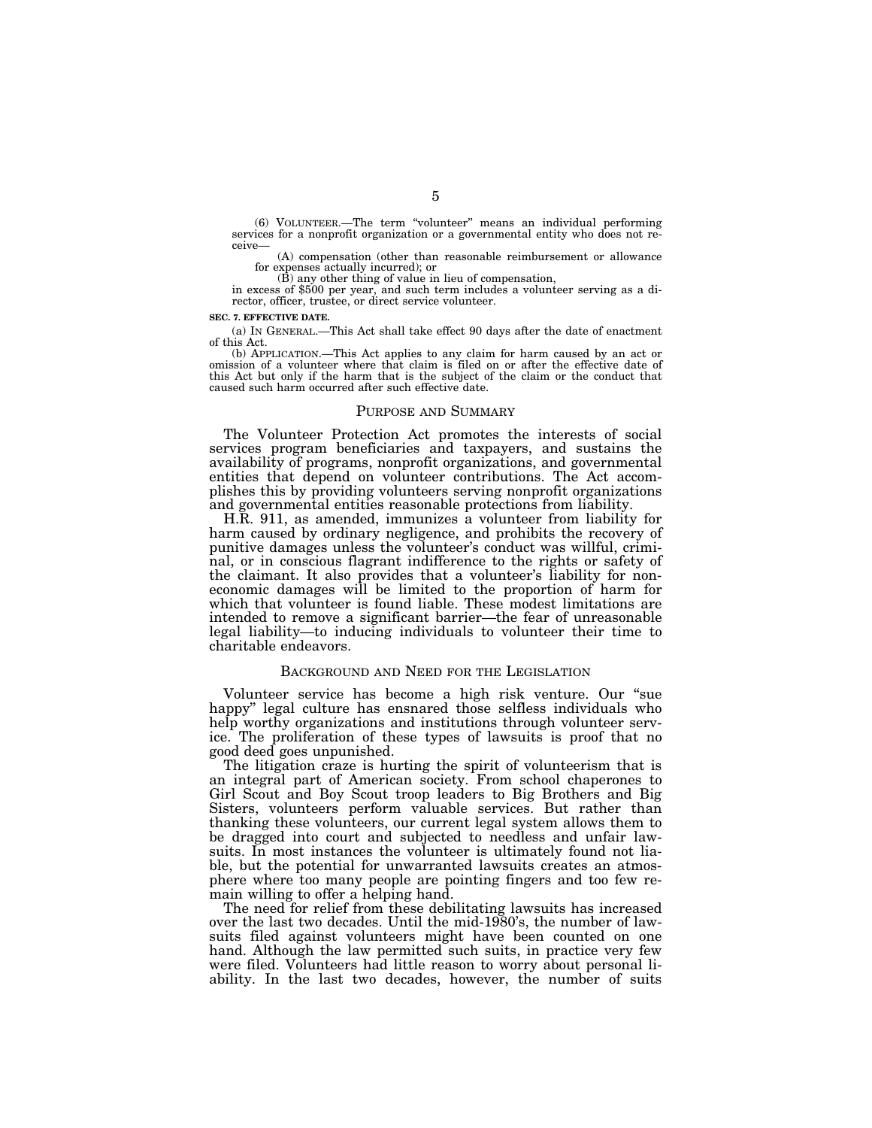(6) VOLUNTEER.—The term ''volunteer'' means an individual performing services for a nonprofit organization or a governmental entity who does not receive—

(A) compensation (other than reasonable reimbursement or allowance for expenses actually incurred); or

(B) any other thing of value in lieu of compensation,<br>in excess of \$500 per year, and such term includes a volunteer serving as a director, officer, trustee, or direct service volunteer.

#### **SEC. 7. EFFECTIVE DATE.**

(a) IN GENERAL.—This Act shall take effect 90 days after the date of enactment of this Act.

(b) APPLICATION.—This Act applies to any claim for harm caused by an act or omission of a volunteer where that claim is filed on or after the effective date of this Act but only if the harm that is the subject of the claim or the conduct that caused such harm occurred after such effective date.

#### PURPOSE AND SUMMARY

The Volunteer Protection Act promotes the interests of social services program beneficiaries and taxpayers, and sustains the availability of programs, nonprofit organizations, and governmental entities that depend on volunteer contributions. The Act accomplishes this by providing volunteers serving nonprofit organizations and governmental entities reasonable protections from liability.

H.R. 911, as amended, immunizes a volunteer from liability for harm caused by ordinary negligence, and prohibits the recovery of punitive damages unless the volunteer's conduct was willful, criminal, or in conscious flagrant indifference to the rights or safety of the claimant. It also provides that a volunteer's liability for noneconomic damages will be limited to the proportion of harm for which that volunteer is found liable. These modest limitations are intended to remove a significant barrier—the fear of unreasonable legal liability—to inducing individuals to volunteer their time to charitable endeavors.

### BACKGROUND AND NEED FOR THE LEGISLATION

Volunteer service has become a high risk venture. Our ''sue happy'' legal culture has ensnared those selfless individuals who help worthy organizations and institutions through volunteer service. The proliferation of these types of lawsuits is proof that no good deed goes unpunished.

The litigation craze is hurting the spirit of volunteerism that is an integral part of American society. From school chaperones to Girl Scout and Boy Scout troop leaders to Big Brothers and Big Sisters, volunteers perform valuable services. But rather than thanking these volunteers, our current legal system allows them to be dragged into court and subjected to needless and unfair lawsuits. In most instances the volunteer is ultimately found not liable, but the potential for unwarranted lawsuits creates an atmosphere where too many people are pointing fingers and too few remain willing to offer a helping hand.

The need for relief from these debilitating lawsuits has increased over the last two decades. Until the mid-1980's, the number of lawsuits filed against volunteers might have been counted on one hand. Although the law permitted such suits, in practice very few were filed. Volunteers had little reason to worry about personal liability. In the last two decades, however, the number of suits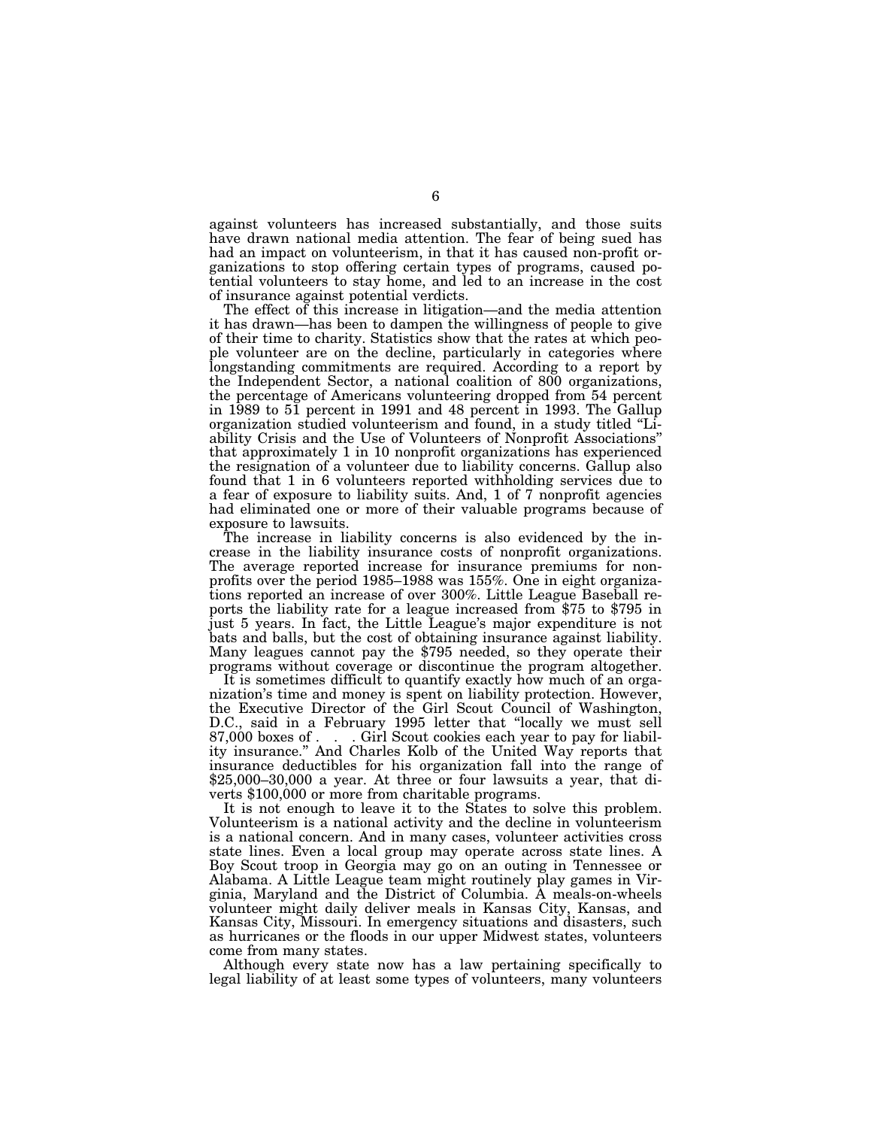against volunteers has increased substantially, and those suits have drawn national media attention. The fear of being sued has had an impact on volunteerism, in that it has caused non-profit organizations to stop offering certain types of programs, caused potential volunteers to stay home, and led to an increase in the cost of insurance against potential verdicts.

The effect of this increase in litigation—and the media attention it has drawn—has been to dampen the willingness of people to give of their time to charity. Statistics show that the rates at which people volunteer are on the decline, particularly in categories where longstanding commitments are required. According to a report by the Independent Sector, a national coalition of 800 organizations, the percentage of Americans volunteering dropped from 54 percent in 1989 to 51 percent in 1991 and 48 percent in 1993. The Gallup organization studied volunteerism and found, in a study titled ''Liability Crisis and the Use of Volunteers of Nonprofit Associations'' that approximately 1 in 10 nonprofit organizations has experienced the resignation of a volunteer due to liability concerns. Gallup also found that 1 in 6 volunteers reported withholding services due to a fear of exposure to liability suits. And, 1 of 7 nonprofit agencies had eliminated one or more of their valuable programs because of exposure to lawsuits.

The increase in liability concerns is also evidenced by the increase in the liability insurance costs of nonprofit organizations. The average reported increase for insurance premiums for nonprofits over the period 1985–1988 was 155%. One in eight organizations reported an increase of over 300%. Little League Baseball reports the liability rate for a league increased from \$75 to \$795 in just 5 years. In fact, the Little League's major expenditure is not bats and balls, but the cost of obtaining insurance against liability. Many leagues cannot pay the \$795 needed, so they operate their programs without coverage or discontinue the program altogether.

It is sometimes difficult to quantify exactly how much of an organization's time and money is spent on liability protection. However, the Executive Director of the Girl Scout Council of Washington, D.C., said in a February 1995 letter that ''locally we must sell 87,000 boxes of . . . Girl Scout cookies each year to pay for liability insurance.'' And Charles Kolb of the United Way reports that insurance deductibles for his organization fall into the range of \$25,000–30,000 a year. At three or four lawsuits a year, that diverts \$100,000 or more from charitable programs.

It is not enough to leave it to the States to solve this problem. Volunteerism is a national activity and the decline in volunteerism is a national concern. And in many cases, volunteer activities cross state lines. Even a local group may operate across state lines. A Boy Scout troop in Georgia may go on an outing in Tennessee or Alabama. A Little League team might routinely play games in Virginia, Maryland and the District of Columbia. A meals-on-wheels volunteer might daily deliver meals in Kansas City, Kansas, and Kansas City, Missouri. In emergency situations and disasters, such as hurricanes or the floods in our upper Midwest states, volunteers come from many states.

Although every state now has a law pertaining specifically to legal liability of at least some types of volunteers, many volunteers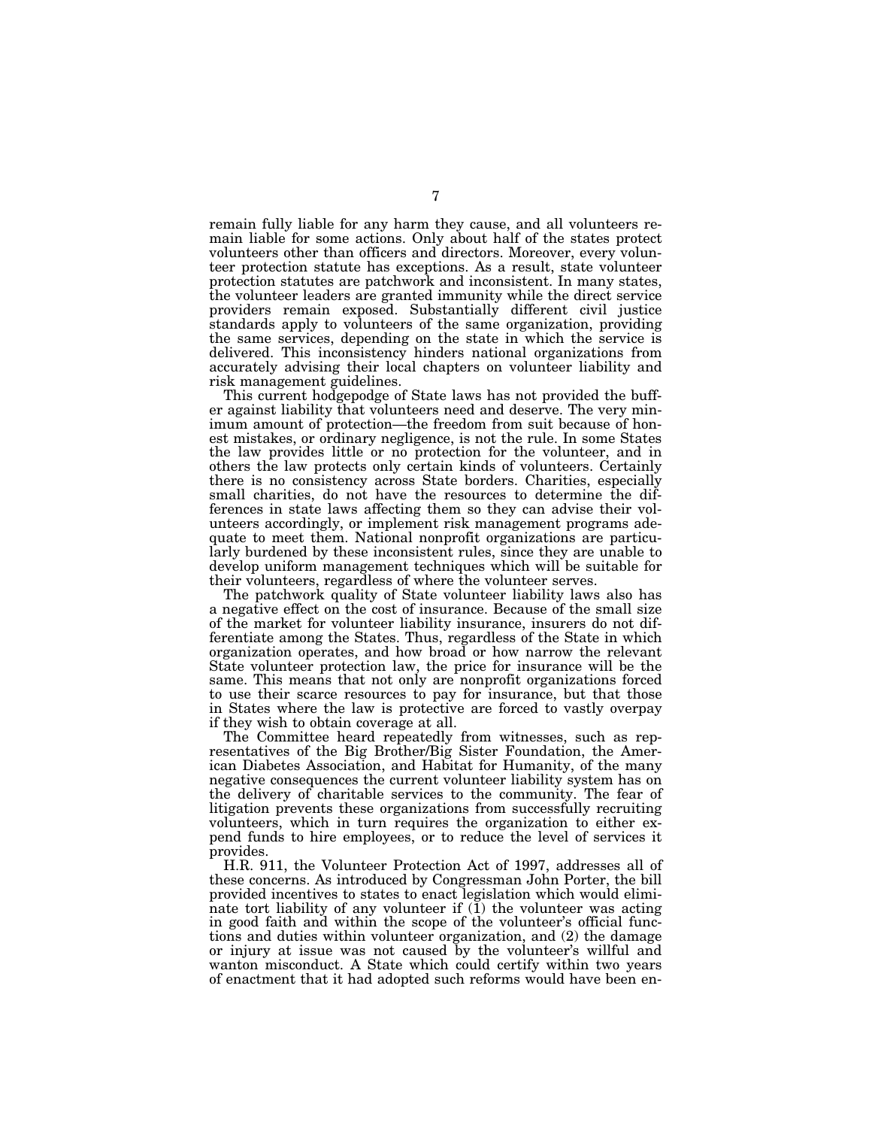remain fully liable for any harm they cause, and all volunteers remain liable for some actions. Only about half of the states protect volunteers other than officers and directors. Moreover, every volunteer protection statute has exceptions. As a result, state volunteer protection statutes are patchwork and inconsistent. In many states, the volunteer leaders are granted immunity while the direct service providers remain exposed. Substantially different civil justice standards apply to volunteers of the same organization, providing the same services, depending on the state in which the service is delivered. This inconsistency hinders national organizations from accurately advising their local chapters on volunteer liability and risk management guidelines.

This current hodgepodge of State laws has not provided the buffer against liability that volunteers need and deserve. The very minimum amount of protection—the freedom from suit because of honest mistakes, or ordinary negligence, is not the rule. In some States the law provides little or no protection for the volunteer, and in others the law protects only certain kinds of volunteers. Certainly there is no consistency across State borders. Charities, especially small charities, do not have the resources to determine the differences in state laws affecting them so they can advise their volunteers accordingly, or implement risk management programs adequate to meet them. National nonprofit organizations are particularly burdened by these inconsistent rules, since they are unable to develop uniform management techniques which will be suitable for their volunteers, regardless of where the volunteer serves.

The patchwork quality of State volunteer liability laws also has a negative effect on the cost of insurance. Because of the small size of the market for volunteer liability insurance, insurers do not differentiate among the States. Thus, regardless of the State in which organization operates, and how broad or how narrow the relevant State volunteer protection law, the price for insurance will be the same. This means that not only are nonprofit organizations forced to use their scarce resources to pay for insurance, but that those in States where the law is protective are forced to vastly overpay if they wish to obtain coverage at all.

The Committee heard repeatedly from witnesses, such as representatives of the Big Brother/Big Sister Foundation, the American Diabetes Association, and Habitat for Humanity, of the many negative consequences the current volunteer liability system has on the delivery of charitable services to the community. The fear of litigation prevents these organizations from successfully recruiting volunteers, which in turn requires the organization to either expend funds to hire employees, or to reduce the level of services it provides.

H.R. 911, the Volunteer Protection Act of 1997, addresses all of these concerns. As introduced by Congressman John Porter, the bill provided incentives to states to enact legislation which would eliminate tort liability of any volunteer if  $(1)$  the volunteer was acting in good faith and within the scope of the volunteer's official functions and duties within volunteer organization, and (2) the damage or injury at issue was not caused by the volunteer's willful and wanton misconduct. A State which could certify within two years of enactment that it had adopted such reforms would have been en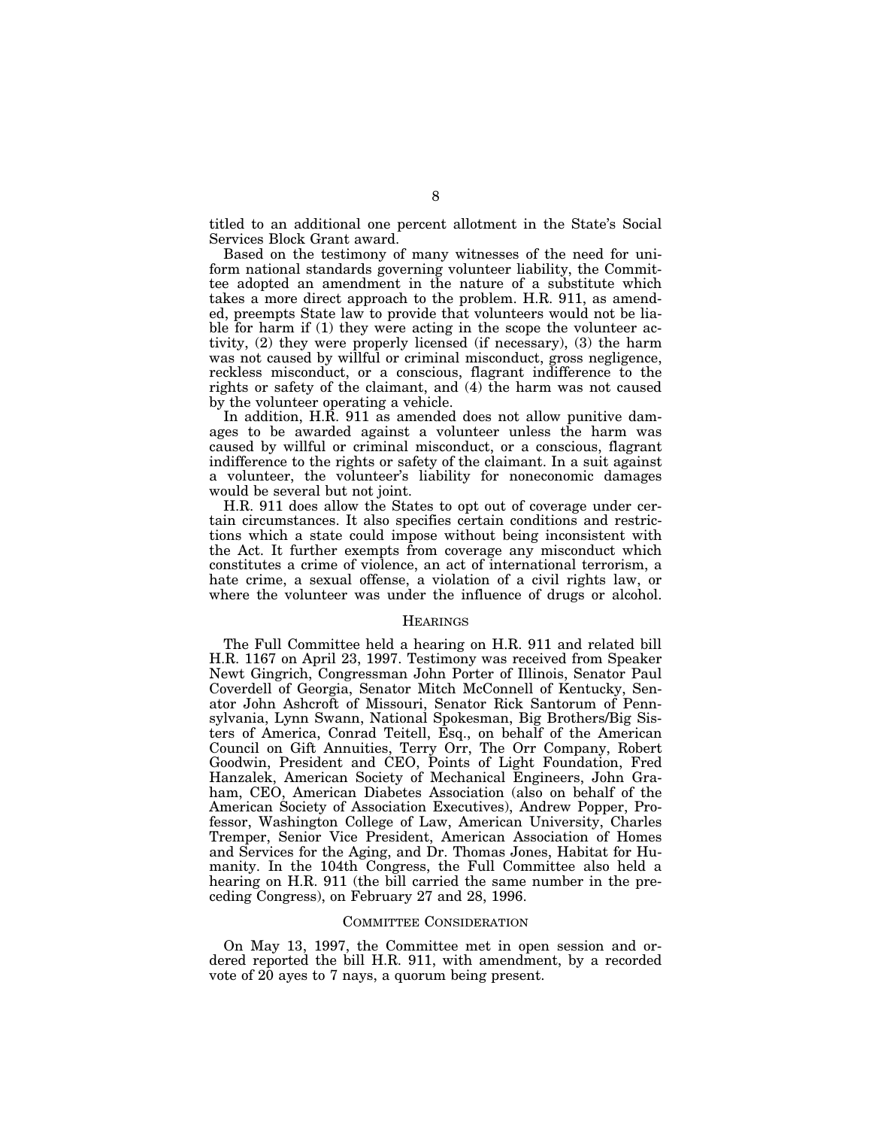titled to an additional one percent allotment in the State's Social Services Block Grant award.

Based on the testimony of many witnesses of the need for uniform national standards governing volunteer liability, the Committee adopted an amendment in the nature of a substitute which takes a more direct approach to the problem. H.R. 911, as amended, preempts State law to provide that volunteers would not be liable for harm if (1) they were acting in the scope the volunteer activity, (2) they were properly licensed (if necessary), (3) the harm was not caused by willful or criminal misconduct, gross negligence, reckless misconduct, or a conscious, flagrant indifference to the rights or safety of the claimant, and (4) the harm was not caused by the volunteer operating a vehicle.

In addition, H.R. 911 as amended does not allow punitive damages to be awarded against a volunteer unless the harm was caused by willful or criminal misconduct, or a conscious, flagrant indifference to the rights or safety of the claimant. In a suit against a volunteer, the volunteer's liability for noneconomic damages would be several but not joint.

H.R. 911 does allow the States to opt out of coverage under certain circumstances. It also specifies certain conditions and restrictions which a state could impose without being inconsistent with the Act. It further exempts from coverage any misconduct which constitutes a crime of violence, an act of international terrorism, a hate crime, a sexual offense, a violation of a civil rights law, or where the volunteer was under the influence of drugs or alcohol.

### **HEARINGS**

The Full Committee held a hearing on H.R. 911 and related bill H.R. 1167 on April 23, 1997. Testimony was received from Speaker Newt Gingrich, Congressman John Porter of Illinois, Senator Paul Coverdell of Georgia, Senator Mitch McConnell of Kentucky, Senator John Ashcroft of Missouri, Senator Rick Santorum of Pennsylvania, Lynn Swann, National Spokesman, Big Brothers/Big Sisters of America, Conrad Teitell, Esq., on behalf of the American Council on Gift Annuities, Terry Orr, The Orr Company, Robert Goodwin, President and CEO, Points of Light Foundation, Fred Hanzalek, American Society of Mechanical Engineers, John Graham, CEO, American Diabetes Association (also on behalf of the American Society of Association Executives), Andrew Popper, Professor, Washington College of Law, American University, Charles Tremper, Senior Vice President, American Association of Homes and Services for the Aging, and Dr. Thomas Jones, Habitat for Humanity. In the 104th Congress, the Full Committee also held a hearing on H.R. 911 (the bill carried the same number in the preceding Congress), on February 27 and 28, 1996.

#### COMMITTEE CONSIDERATION

On May 13, 1997, the Committee met in open session and ordered reported the bill H.R. 911, with amendment, by a recorded vote of 20 ayes to 7 nays, a quorum being present.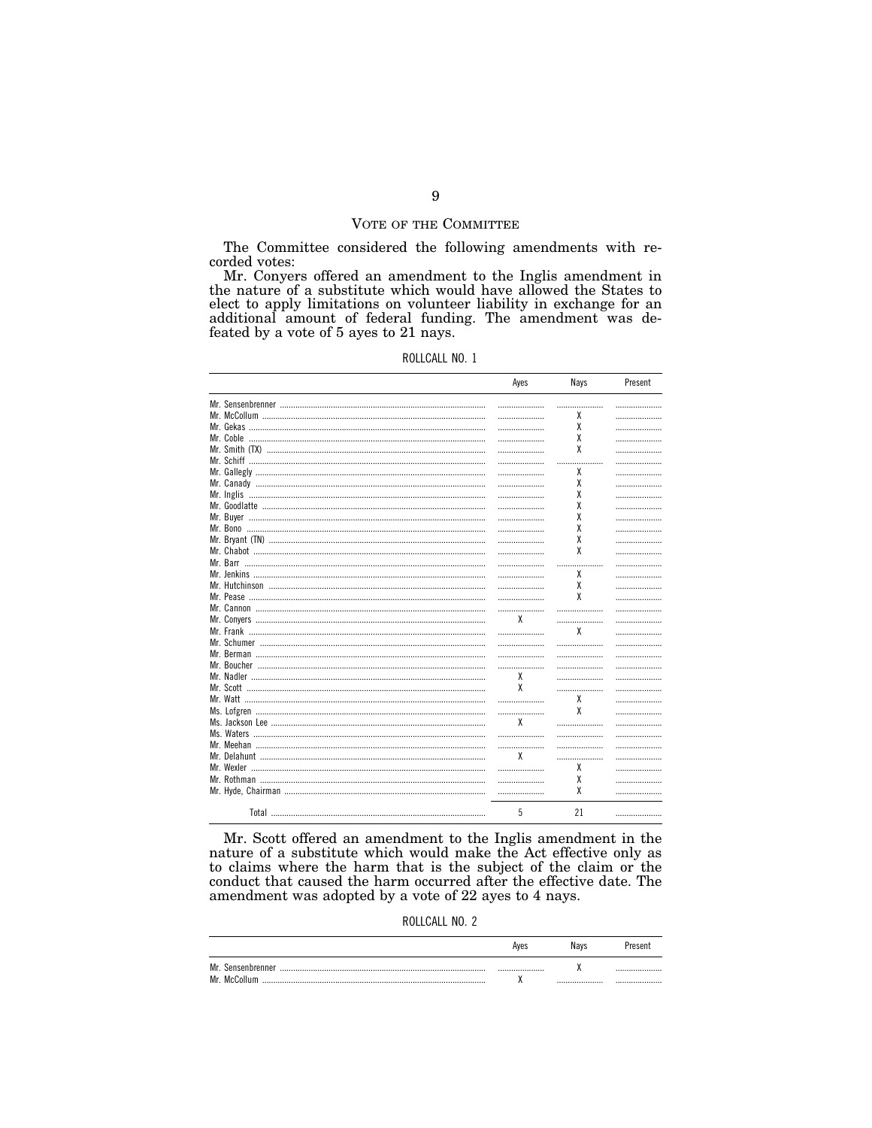### VOTE OF THE COMMITTEE

The Committee considered the following amendments with recorded votes:

Mr. Conyers offered an amendment to the Inglis amendment in the nature of a substitute which would have allowed the States to elect to apply limitations on volunteer liability in exchange for an additional amount of federal funding. The amendment was defeated by a vote of 5 ayes to 21 nays.

| Ayes | Nays | Present |
|------|------|---------|
|      |      |         |
|      | χ    |         |
|      | χ    |         |
|      | χ    |         |
|      | χ    |         |
|      |      |         |
|      | χ    |         |
|      | χ    |         |
|      | χ    |         |
|      | χ    |         |
|      | χ    |         |
|      | χ    |         |
|      | χ    |         |
|      | χ    |         |
|      |      |         |
|      | X    |         |
|      | χ    |         |
|      |      |         |
|      | X    |         |
|      |      |         |
| x    |      |         |
|      | X    |         |
|      |      |         |
|      |      |         |
|      |      |         |
| χ    |      |         |
| x    |      |         |
|      | X    |         |
|      | X    |         |
| X    |      |         |
|      |      |         |
|      |      |         |
| x    |      |         |
|      | X    |         |
|      | χ    |         |
|      | χ    |         |
|      |      |         |
| 5    | 21   |         |

ROLLCALL NO. 1

Mr. Scott offered an amendment to the Inglis amendment in the nature of a substitute which would make the Act effective only as to claims where the harm that is the subject of the claim or the conduct that caused the harm occurred after the effective date. The amendment was adopted by a vote of 22 ayes to 4 nays.

ROLLCALL NO. 2

|                                  | Ayes | Navs | Present |
|----------------------------------|------|------|---------|
| Mr. Sensenbrenner<br>Mr McCollum |      |      |         |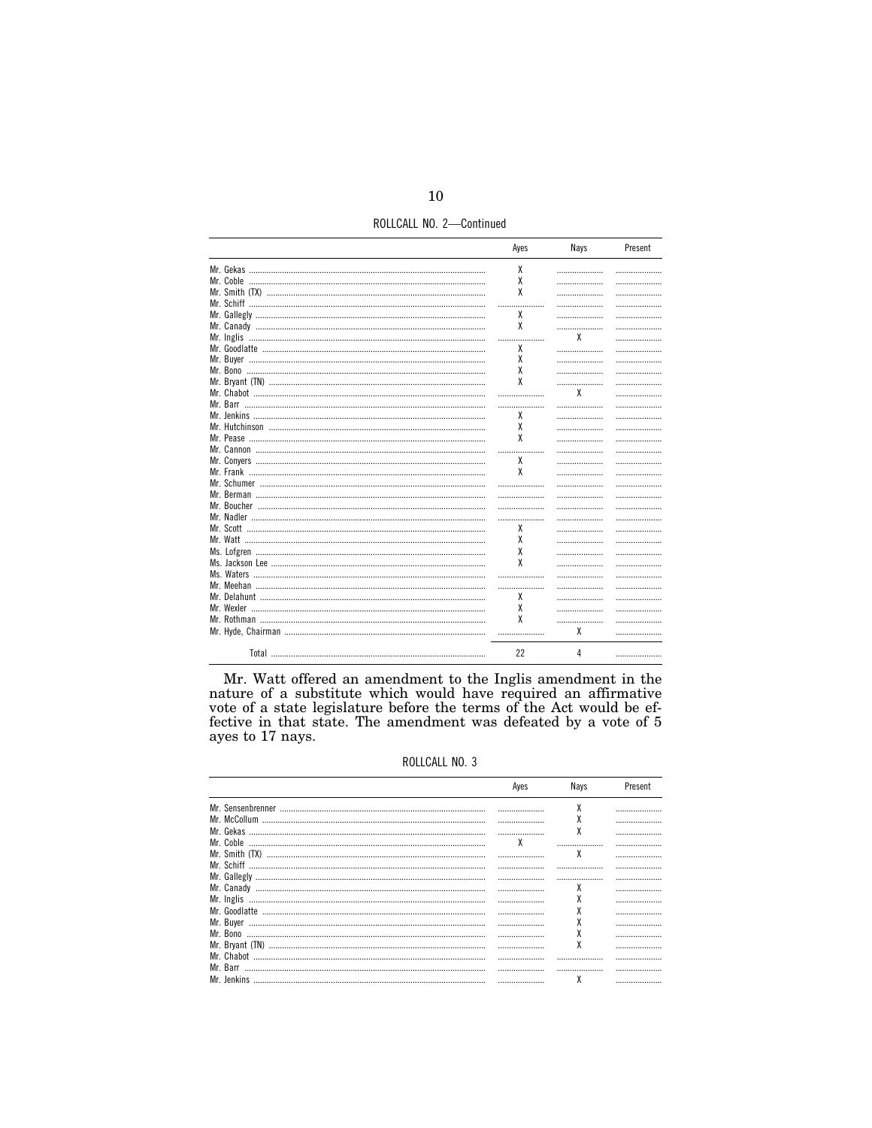ROLLCALL NO. 2-Continued

|                                                | Ayes   | Nays | Present |
|------------------------------------------------|--------|------|---------|
|                                                | X      |      |         |
|                                                | X      |      |         |
| Mr. Smith (TX) ………………………………………………………………………………… | χ      |      |         |
|                                                | .      |      |         |
|                                                | X      |      |         |
|                                                | X      |      |         |
|                                                |        | X    |         |
|                                                | .      |      |         |
|                                                | χ      |      |         |
|                                                | X      |      |         |
|                                                | χ      |      |         |
|                                                | χ      |      |         |
|                                                |        | X    |         |
|                                                |        |      |         |
|                                                | X      |      |         |
|                                                | X      |      |         |
|                                                | χ      |      |         |
|                                                | .<br>. |      |         |
|                                                | X      |      |         |
|                                                | X      |      |         |
|                                                |        |      |         |
|                                                |        |      |         |
|                                                |        |      |         |
|                                                |        |      |         |
|                                                | X      |      |         |
|                                                | X      |      |         |
|                                                | χ      |      |         |
|                                                | χ      |      | .       |
|                                                |        |      |         |
|                                                | .      |      |         |
|                                                | X      |      |         |
|                                                | χ      |      |         |
|                                                | χ      |      |         |
|                                                |        | X    |         |
|                                                |        |      |         |
|                                                | 22     | 4    | .       |

Mr. Watt offered an amendment to the Inglis amendment in the nature of a substitute which would have required an affirmative vote of a state legislature before the terms of the Act would be effective in that state. The am

ROLLCALL NO. 3

|           | Aves | Navs | Present |
|-----------|------|------|---------|
|           |      | χ    |         |
|           |      |      |         |
|           |      |      |         |
|           | χ    |      |         |
|           |      | χ    |         |
|           |      |      |         |
|           |      |      |         |
|           |      | χ    |         |
|           |      |      |         |
|           |      | λ    |         |
| Mr. Buver |      |      |         |
|           |      |      |         |
|           |      | Λ    |         |
|           |      |      |         |
|           |      |      |         |
|           |      | χ    |         |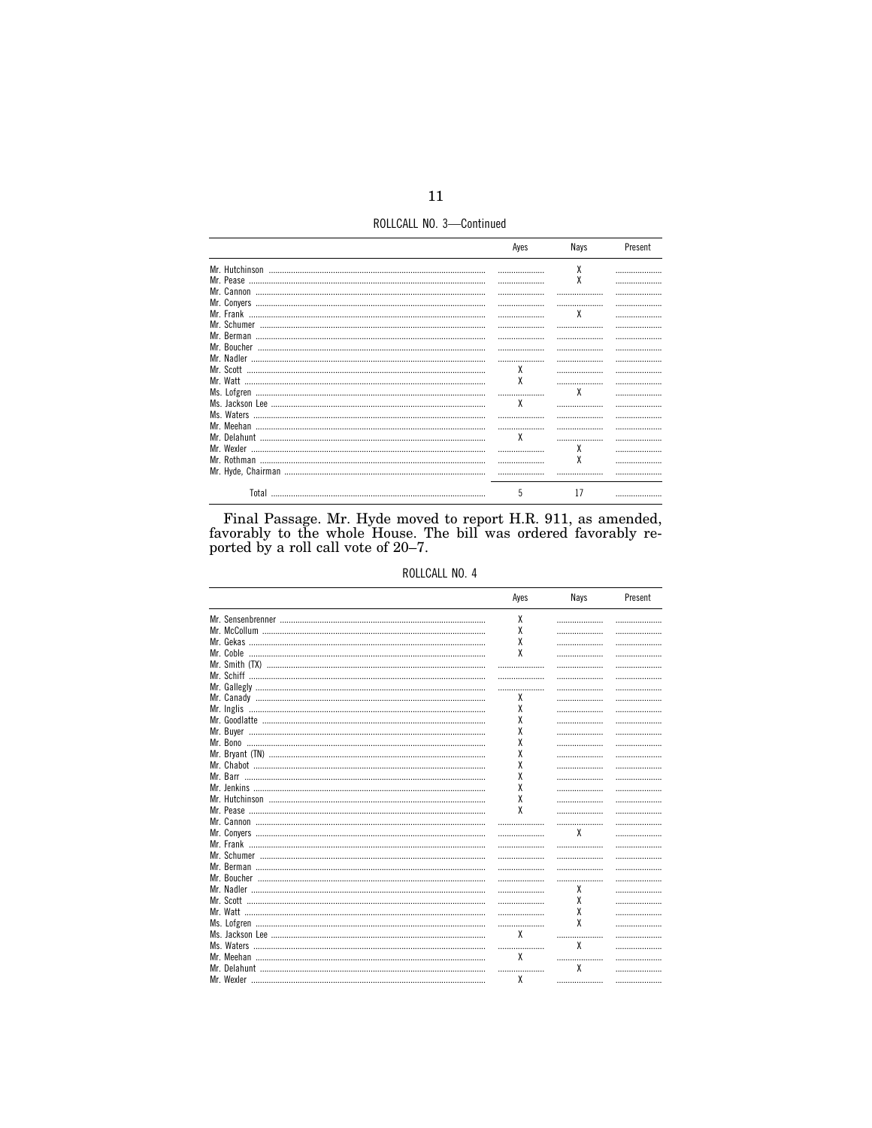ROLLCALL NO. 3-Continued

|                | Aves | Navs | Present |
|----------------|------|------|---------|
| Mr. Hutchinson |      | χ    |         |
|                |      | χ    |         |
|                |      |      |         |
|                |      |      |         |
|                |      | X    |         |
|                |      |      |         |
| Mr. Berman     |      |      |         |
| Mr. Boucher    |      |      |         |
|                |      |      |         |
| Mr. Scott      | χ    |      |         |
| Mr Watt        | X    |      |         |
|                |      | X    |         |
|                | χ    |      |         |
|                |      |      |         |
|                |      |      |         |
|                | χ    |      |         |
|                |      | X    |         |
|                |      | χ    |         |
|                |      |      |         |
|                |      |      |         |
|                | 5    |      |         |

Final Passage. Mr. Hyde moved to report H.R. 911, as amended, favorably to the whole House. The bill was ordered favorably reported by a roll call vote of  $20-7$ .

ROLLCALL NO. 4

| Ayes         | Nays | Present |
|--------------|------|---------|
| X            |      | .       |
| χ            |      | .       |
| χ            |      | .       |
| X            |      | .       |
|              |      | .       |
|              |      | .       |
|              |      | .       |
| X            |      | .       |
| χ            |      | .       |
| χ            |      | .       |
| χ            |      | .       |
| χ            |      | .       |
| χ            |      | .       |
| χ            |      | .       |
| χ            |      |         |
| χ            |      | .       |
| χ            |      | .       |
| χ            |      | .       |
|              |      | .       |
|              |      | .       |
|              | X    | .       |
|              |      | .       |
|              |      | .       |
|              |      | .       |
|              |      | .       |
|              | X    | .       |
|              | χ    | .       |
|              | X    | .       |
|              | X    |         |
| X            |      |         |
|              | X    |         |
| χ            |      |         |
|              | X    | .       |
| $\mathsf{X}$ |      |         |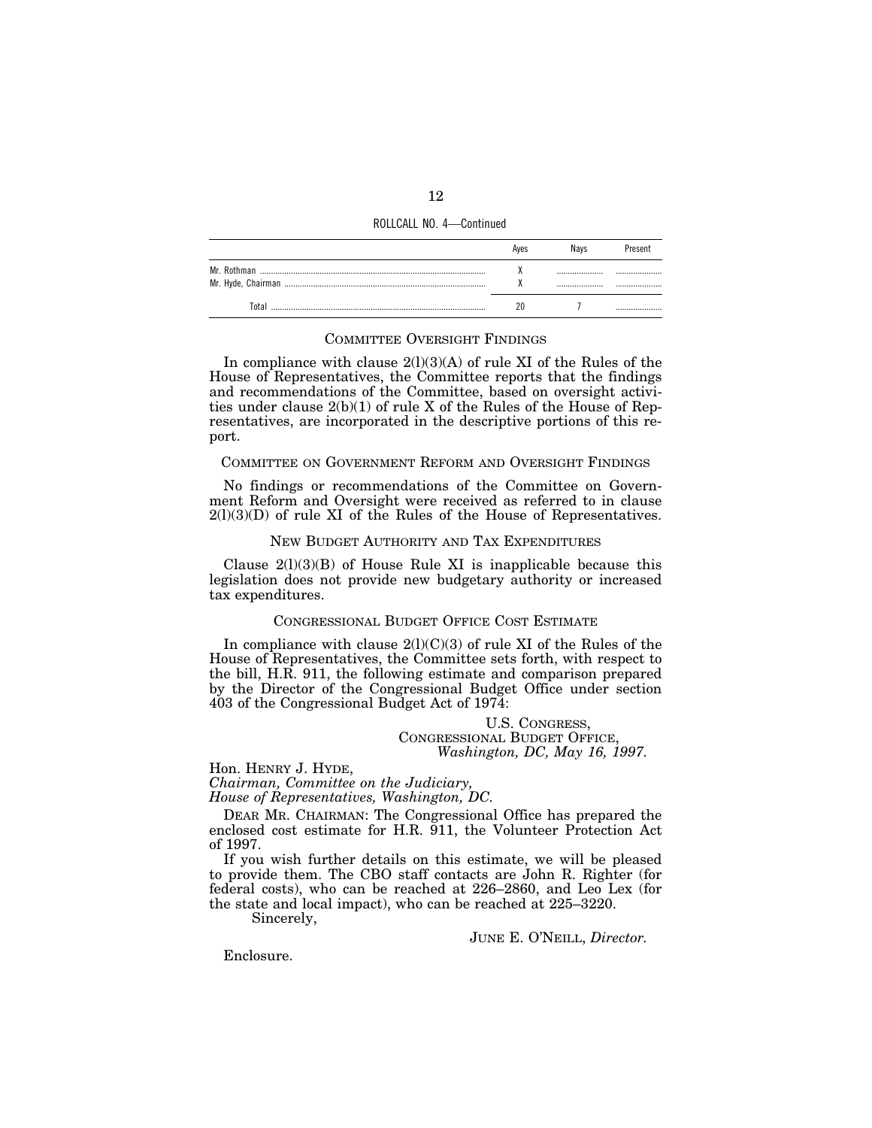ROLLCALL NO. 4-Continued

|            | Aves | resent'      |
|------------|------|--------------|
| Mr Rothman |      | <br><br><br> |
| Total      |      |              |

### **COMMITTEE OVERSIGHT FINDINGS**

In compliance with clause  $2(1)(3)(A)$  of rule XI of the Rules of the House of Representatives, the Committee reports that the findings and recommendations of the Committee, based on oversight activities under clause  $2(b)(1)$  of rule X of the Rules of the House of Representatives, are incorporated in the descriptive portions of this report.

#### COMMITTEE ON GOVERNMENT REFORM AND OVERSIGHT FINDINGS

No findings or recommendations of the Committee on Government Reform and Oversight were received as referred to in clause  $2(1)(3)(D)$  of rule XI of the Rules of the House of Representatives.

#### NEW BUDGET AUTHORITY AND TAX EXPENDITURES

Clause  $2(1)(3)(B)$  of House Rule XI is inapplicable because this legislation does not provide new budgetary authority or increased tax expenditures.

### CONGRESSIONAL BUDGET OFFICE COST ESTIMATE

In compliance with clause  $2(I)(C)(3)$  of rule XI of the Rules of the House of Representatives, the Committee sets forth, with respect to the bill, H.R. 911, the following estimate and comparison prepared by the Director of the Congressional Budget Office under section 403 of the Congressional Budget Act of 1974:

> U.S. CONGRESS, CONGRESSIONAL BUDGET OFFICE, Washington, DC, May 16, 1997.

Hon. HENRY J. HYDE, Chairman, Committee on the Judiciary, House of Representatives, Washington, DC.

DEAR MR. CHAIRMAN: The Congressional Office has prepared the enclosed cost estimate for H.R. 911, the Volunteer Protection Act of 1997.

If you wish further details on this estimate, we will be pleased to provide them. The CBO staff contacts are John R. Righter (for federal costs), who can be reached at 226–2860, and Leo Lex (for the state and local impact), who can be reached at 225–3220.

Sincerely,

JUNE E. O'NEILL, Director.

Enclosure.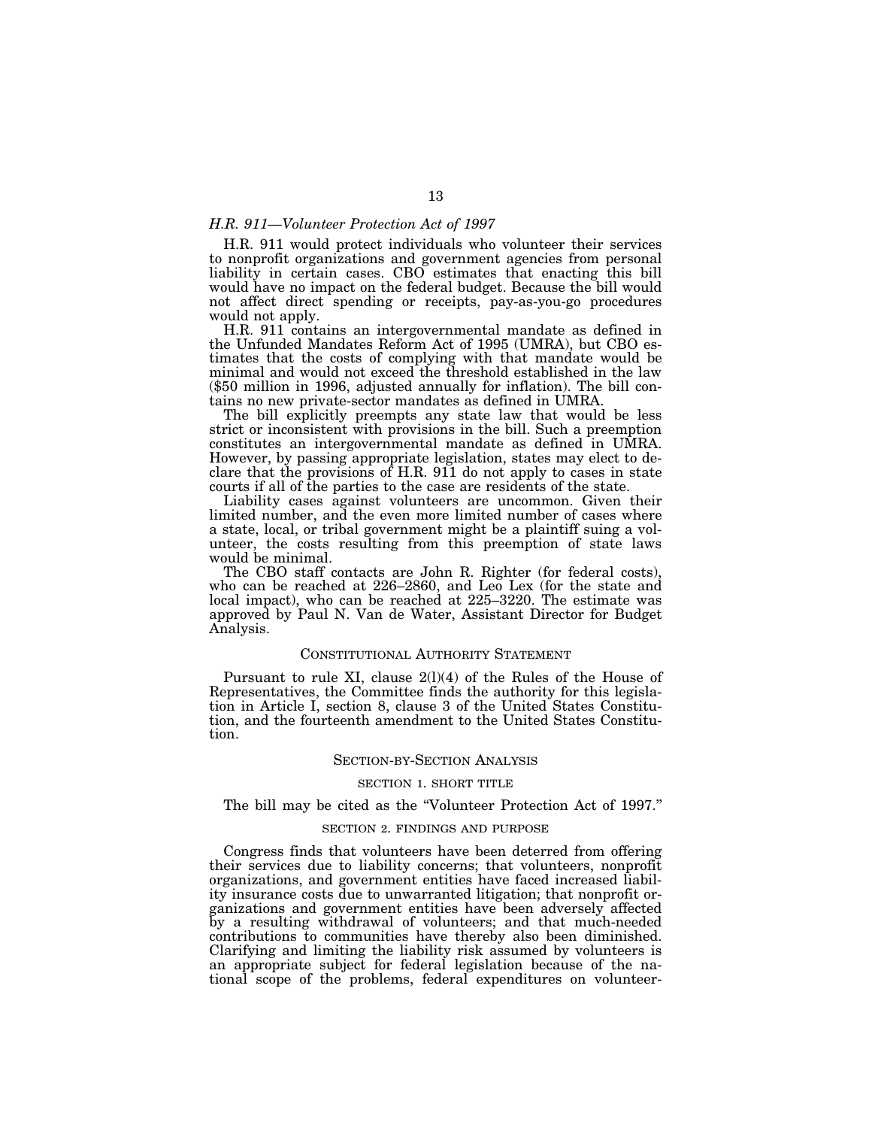### *H.R. 911—Volunteer Protection Act of 1997*

H.R. 911 would protect individuals who volunteer their services to nonprofit organizations and government agencies from personal liability in certain cases. CBO estimates that enacting this bill would have no impact on the federal budget. Because the bill would not affect direct spending or receipts, pay-as-you-go procedures would not apply.

H.R. 911 contains an intergovernmental mandate as defined in the Unfunded Mandates Reform Act of 1995 (UMRA), but CBO estimates that the costs of complying with that mandate would be minimal and would not exceed the threshold established in the law (\$50 million in 1996, adjusted annually for inflation). The bill contains no new private-sector mandates as defined in UMRA.

The bill explicitly preempts any state law that would be less strict or inconsistent with provisions in the bill. Such a preemption constitutes an intergovernmental mandate as defined in UMRA. However, by passing appropriate legislation, states may elect to declare that the provisions of H.R. 911 do not apply to cases in state courts if all of the parties to the case are residents of the state.

Liability cases against volunteers are uncommon. Given their limited number, and the even more limited number of cases where a state, local, or tribal government might be a plaintiff suing a volunteer, the costs resulting from this preemption of state laws would be minimal.

The CBO staff contacts are John R. Righter (for federal costs), who can be reached at 226–2860, and Leo Lex (for the state and local impact), who can be reached at 225–3220. The estimate was approved by Paul N. Van de Water, Assistant Director for Budget Analysis.

### CONSTITUTIONAL AUTHORITY STATEMENT

Pursuant to rule XI, clause 2(l)(4) of the Rules of the House of Representatives, the Committee finds the authority for this legislation in Article I, section 8, clause 3 of the United States Constitution, and the fourteenth amendment to the United States Constitution.

### SECTION-BY-SECTION ANALYSIS

### SECTION 1. SHORT TITLE

The bill may be cited as the "Volunteer Protection Act of 1997."

#### SECTION 2. FINDINGS AND PURPOSE

Congress finds that volunteers have been deterred from offering their services due to liability concerns; that volunteers, nonprofit organizations, and government entities have faced increased liability insurance costs due to unwarranted litigation; that nonprofit organizations and government entities have been adversely affected by a resulting withdrawal of volunteers; and that much-needed contributions to communities have thereby also been diminished. Clarifying and limiting the liability risk assumed by volunteers is an appropriate subject for federal legislation because of the national scope of the problems, federal expenditures on volunteer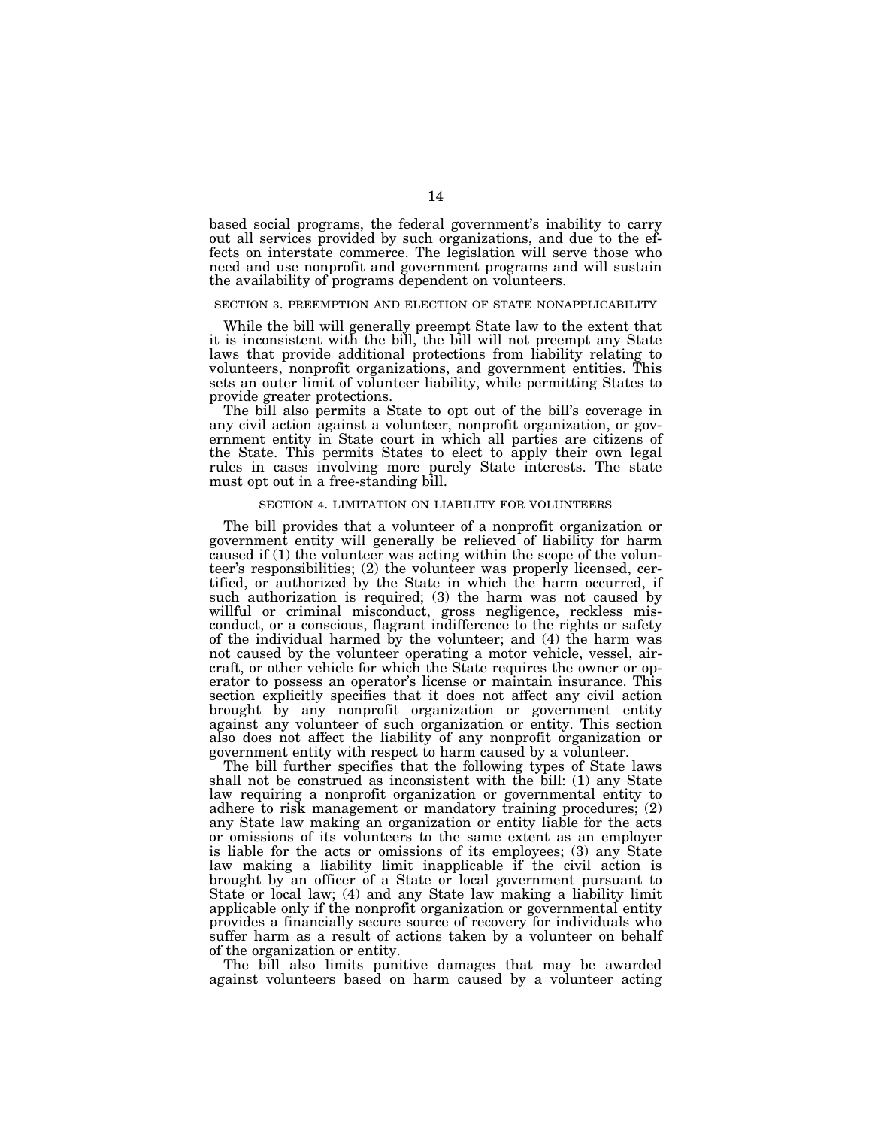based social programs, the federal government's inability to carry out all services provided by such organizations, and due to the effects on interstate commerce. The legislation will serve those who need and use nonprofit and government programs and will sustain the availability of programs dependent on volunteers.

### SECTION 3. PREEMPTION AND ELECTION OF STATE NONAPPLICABILITY

While the bill will generally preempt State law to the extent that it is inconsistent with the bill, the bill will not preempt any State laws that provide additional protections from liability relating to volunteers, nonprofit organizations, and government entities. This sets an outer limit of volunteer liability, while permitting States to provide greater protections.

The bill also permits a State to opt out of the bill's coverage in any civil action against a volunteer, nonprofit organization, or government entity in State court in which all parties are citizens of the State. This permits States to elect to apply their own legal rules in cases involving more purely State interests. The state must opt out in a free-standing bill.

# SECTION 4. LIMITATION ON LIABILITY FOR VOLUNTEERS

The bill provides that a volunteer of a nonprofit organization or government entity will generally be relieved of liability for harm caused if (1) the volunteer was acting within the scope of the volunteer's responsibilities; (2) the volunteer was properly licensed, certified, or authorized by the State in which the harm occurred, if such authorization is required; (3) the harm was not caused by willful or criminal misconduct, gross negligence, reckless misconduct, or a conscious, flagrant indifference to the rights or safety of the individual harmed by the volunteer; and (4) the harm was not caused by the volunteer operating a motor vehicle, vessel, aircraft, or other vehicle for which the State requires the owner or operator to possess an operator's license or maintain insurance. This section explicitly specifies that it does not affect any civil action brought by any nonprofit organization or government entity against any volunteer of such organization or entity. This section also does not affect the liability of any nonprofit organization or government entity with respect to harm caused by a volunteer.

The bill further specifies that the following types of State laws shall not be construed as inconsistent with the bill:  $(1)$  any State law requiring a nonprofit organization or governmental entity to adhere to risk management or mandatory training procedures; (2) any State law making an organization or entity liable for the acts or omissions of its volunteers to the same extent as an employer is liable for the acts or omissions of its employees; (3) any State law making a liability limit inapplicable if the civil action is brought by an officer of a State or local government pursuant to State or local law; (4) and any State law making a liability limit applicable only if the nonprofit organization or governmental entity provides a financially secure source of recovery for individuals who suffer harm as a result of actions taken by a volunteer on behalf of the organization or entity.

The bill also limits punitive damages that may be awarded against volunteers based on harm caused by a volunteer acting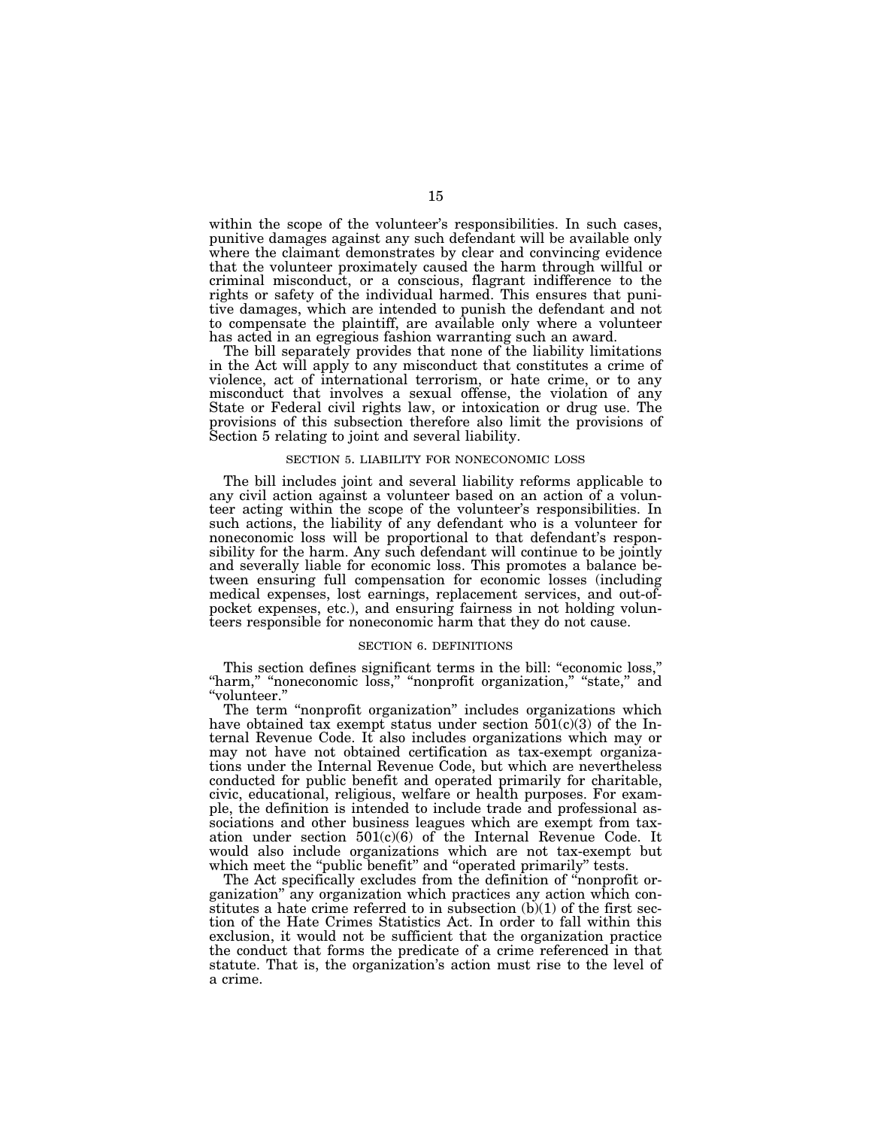within the scope of the volunteer's responsibilities. In such cases, punitive damages against any such defendant will be available only where the claimant demonstrates by clear and convincing evidence that the volunteer proximately caused the harm through willful or criminal misconduct, or a conscious, flagrant indifference to the rights or safety of the individual harmed. This ensures that punitive damages, which are intended to punish the defendant and not to compensate the plaintiff, are available only where a volunteer has acted in an egregious fashion warranting such an award.

The bill separately provides that none of the liability limitations in the Act will apply to any misconduct that constitutes a crime of violence, act of international terrorism, or hate crime, or to any misconduct that involves a sexual offense, the violation of any State or Federal civil rights law, or intoxication or drug use. The provisions of this subsection therefore also limit the provisions of Section 5 relating to joint and several liability.

#### SECTION 5. LIABILITY FOR NONECONOMIC LOSS

The bill includes joint and several liability reforms applicable to any civil action against a volunteer based on an action of a volunteer acting within the scope of the volunteer's responsibilities. In such actions, the liability of any defendant who is a volunteer for noneconomic loss will be proportional to that defendant's responsibility for the harm. Any such defendant will continue to be jointly and severally liable for economic loss. This promotes a balance between ensuring full compensation for economic losses (including medical expenses, lost earnings, replacement services, and out-ofpocket expenses, etc.), and ensuring fairness in not holding volunteers responsible for noneconomic harm that they do not cause.

#### SECTION 6. DEFINITIONS

This section defines significant terms in the bill: "economic loss," "harm," "noneconomic loss," "nonprofit organization," "state," and ''volunteer.''

The term "nonprofit organization" includes organizations which have obtained tax exempt status under section  $501(c)(3)$  of the Internal Revenue Code. It also includes organizations which may or may not have not obtained certification as tax-exempt organizations under the Internal Revenue Code, but which are nevertheless conducted for public benefit and operated primarily for charitable, civic, educational, religious, welfare or health purposes. For example, the definition is intended to include trade and professional associations and other business leagues which are exempt from taxation under section 501(c)(6) of the Internal Revenue Code. It would also include organizations which are not tax-exempt but which meet the "public benefit" and "operated primarily" tests.

The Act specifically excludes from the definition of ''nonprofit organization'' any organization which practices any action which constitutes a hate crime referred to in subsection  $(b)(1)$  of the first section of the Hate Crimes Statistics Act. In order to fall within this exclusion, it would not be sufficient that the organization practice the conduct that forms the predicate of a crime referenced in that statute. That is, the organization's action must rise to the level of a crime.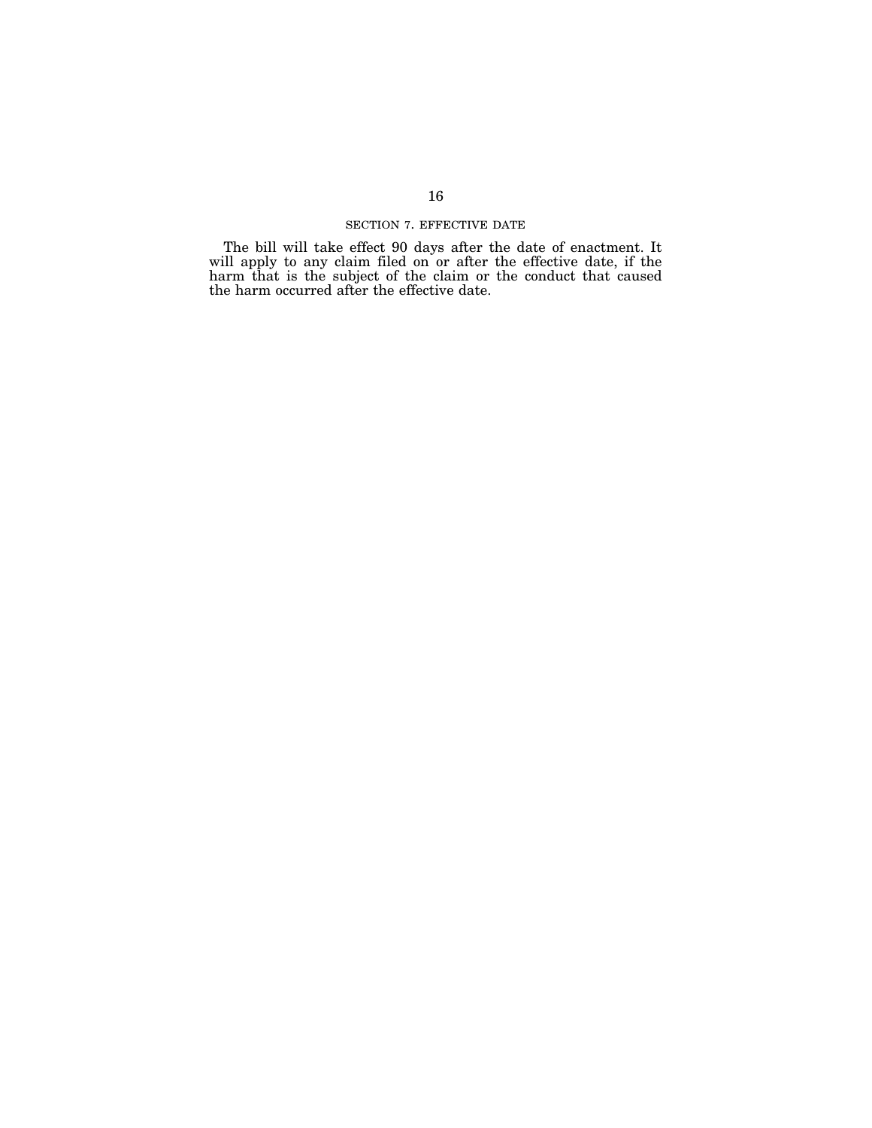# SECTION 7. EFFECTIVE DATE

The bill will take effect 90 days after the date of enactment. It will apply to any claim filed on or after the effective date, if the harm that is the subject of the claim or the conduct that caused the harm occurred after the effective date.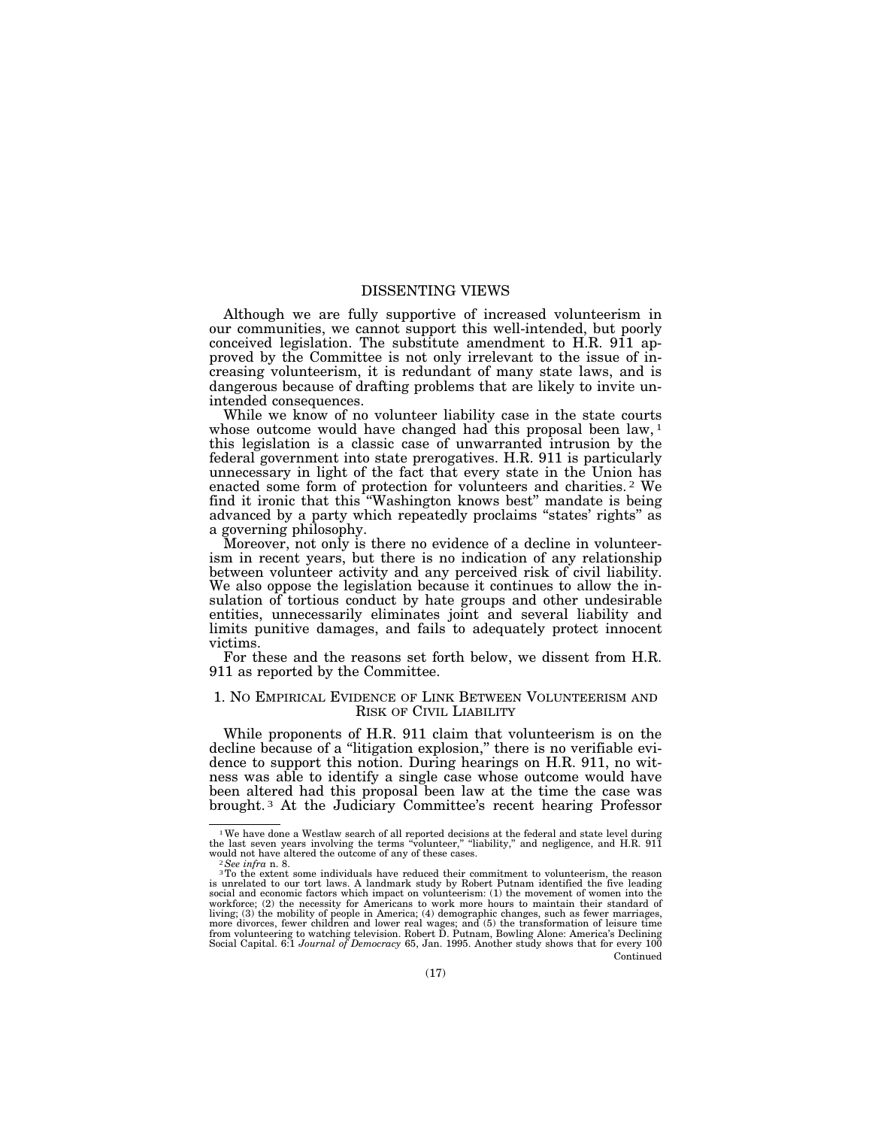# DISSENTING VIEWS

Although we are fully supportive of increased volunteerism in our communities, we cannot support this well-intended, but poorly conceived legislation. The substitute amendment to H.R. 911 approved by the Committee is not only irrelevant to the issue of increasing volunteerism, it is redundant of many state laws, and is dangerous because of drafting problems that are likely to invite unintended consequences.

While we know of no volunteer liability case in the state courts whose outcome would have changed had this proposal been law,<sup>1</sup> this legislation is a classic case of unwarranted intrusion by the federal government into state prerogatives. H.R. 911 is particularly unnecessary in light of the fact that every state in the Union has enacted some form of protection for volunteers and charities. 2 We find it ironic that this ''Washington knows best'' mandate is being advanced by a party which repeatedly proclaims ''states' rights'' as a governing philosophy.

Moreover, not only is there no evidence of a decline in volunteerism in recent years, but there is no indication of any relationship between volunteer activity and any perceived risk of civil liability. We also oppose the legislation because it continues to allow the insulation of tortious conduct by hate groups and other undesirable entities, unnecessarily eliminates joint and several liability and limits punitive damages, and fails to adequately protect innocent victims.

For these and the reasons set forth below, we dissent from H.R. 911 as reported by the Committee.

# 1. NO EMPIRICAL EVIDENCE OF LINK BETWEEN VOLUNTEERISM AND RISK OF CIVIL LIABILITY

While proponents of H.R. 911 claim that volunteerism is on the decline because of a "litigation explosion," there is no verifiable evidence to support this notion. During hearings on H.R. 911, no witness was able to identify a single case whose outcome would have been altered had this proposal been law at the time the case was brought. 3 At the Judiciary Committee's recent hearing Professor

<sup>&</sup>lt;sup>1</sup>We have done a Westlaw search of all reported decisions at the federal and state level during the last seven years involving the terms "volunteer," "liability," and negligence, and H.R. 911 would not have altered the o

is unrelated to our tort laws. A landmark study by Robert Putnam identified the five leading social and economic factors which impact on volunteerism: (1) the movement of women into the workforce; (2) the necessity for Americans to work more hours to maintain their standard of living; (3) the mobility of people in America; (4) demographic changes, such as fewer marriages,<br>more divorces, fewer children and lower real wages; and (5) the transformation of leisure time<br>from volunteering to watching Social Capital. 6:1 *Journal of Democracy* 65, Jan. 1995. Another study shows that for every 100 Continued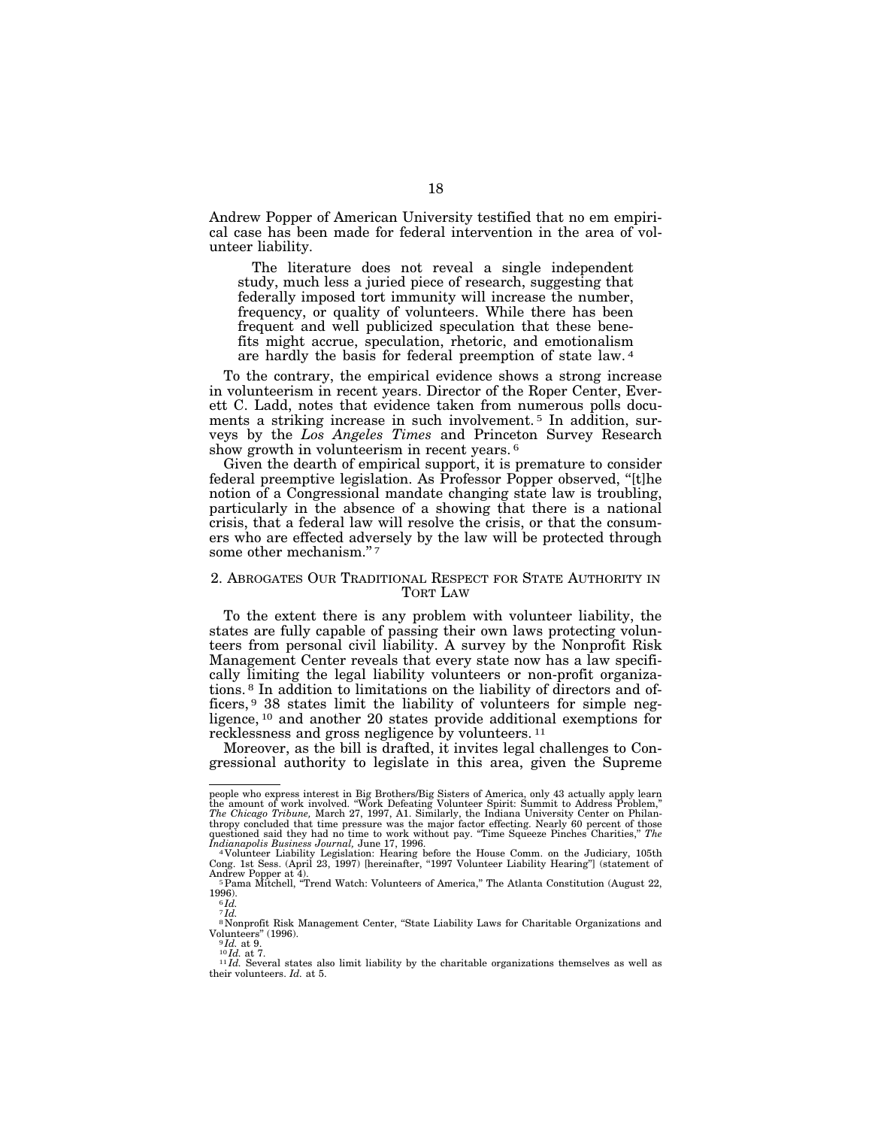Andrew Popper of American University testified that no em empirical case has been made for federal intervention in the area of volunteer liability.

The literature does not reveal a single independent study, much less a juried piece of research, suggesting that federally imposed tort immunity will increase the number, frequency, or quality of volunteers. While there has been frequent and well publicized speculation that these benefits might accrue, speculation, rhetoric, and emotionalism are hardly the basis for federal preemption of state law. 4

To the contrary, the empirical evidence shows a strong increase in volunteerism in recent years. Director of the Roper Center, Everett C. Ladd, notes that evidence taken from numerous polls documents a striking increase in such involvement.<sup>5</sup> In addition, surveys by the *Los Angeles Times* and Princeton Survey Research show growth in volunteerism in recent years. 6

Given the dearth of empirical support, it is premature to consider federal preemptive legislation. As Professor Popper observed, ''[t]he notion of a Congressional mandate changing state law is troubling, particularly in the absence of a showing that there is a national crisis, that a federal law will resolve the crisis, or that the consumers who are effected adversely by the law will be protected through some other mechanism."7

### 2. ABROGATES OUR TRADITIONAL RESPECT FOR STATE AUTHORITY IN TORT LAW

To the extent there is any problem with volunteer liability, the states are fully capable of passing their own laws protecting volunteers from personal civil liability. A survey by the Nonprofit Risk Management Center reveals that every state now has a law specifically limiting the legal liability volunteers or non-profit organizations. 8 In addition to limitations on the liability of directors and officers, 9 38 states limit the liability of volunteers for simple negligence, 10 and another 20 states provide additional exemptions for recklessness and gross negligence by volunteers. 11

Moreover, as the bill is drafted, it invites legal challenges to Congressional authority to legislate in this area, given the Supreme

people who express interest in Big Brothers/Big Sisters of America, only 43 actually apply learn<br>the amount of work involved. "Work Defeating Volunteer Spirit: Summit to Address Problem,"<br>The Chicago Tribune, March 27, 199

Applies Business Surface, Surface 11, 1990.<br>
<sup>4</sup>Volunteer Liability Legislation: Hearing before the House Comm. on the Judiciary, 105th<br>
Cong. 1st Sess. (April 23, 1997) [hereinafter, "1997 Volunteer Liability Hearing"] (s

Andrew Popper at 4). 5 Pama Mitchell, "Trend Watch: Volunteers of America," The Atlanta Constitution (August 22,<br>1996).  $6$ *Id.* 

<sup>7</sup> *Id.*

 $^\mathrm{s}$  Nonprofit Risk Management Center, "State Liability Laws for Charitable Organizations and Volunteers" (1996).

<sup>&</sup>lt;sup>9</sup>*Id.* at 9.<br><sup>10</sup>*Id.* at 7.<br><sup>11</sup>*Id.* Several states also limit liability by the charitable organizations themselves as well as their volunteers. *Id.* at 5.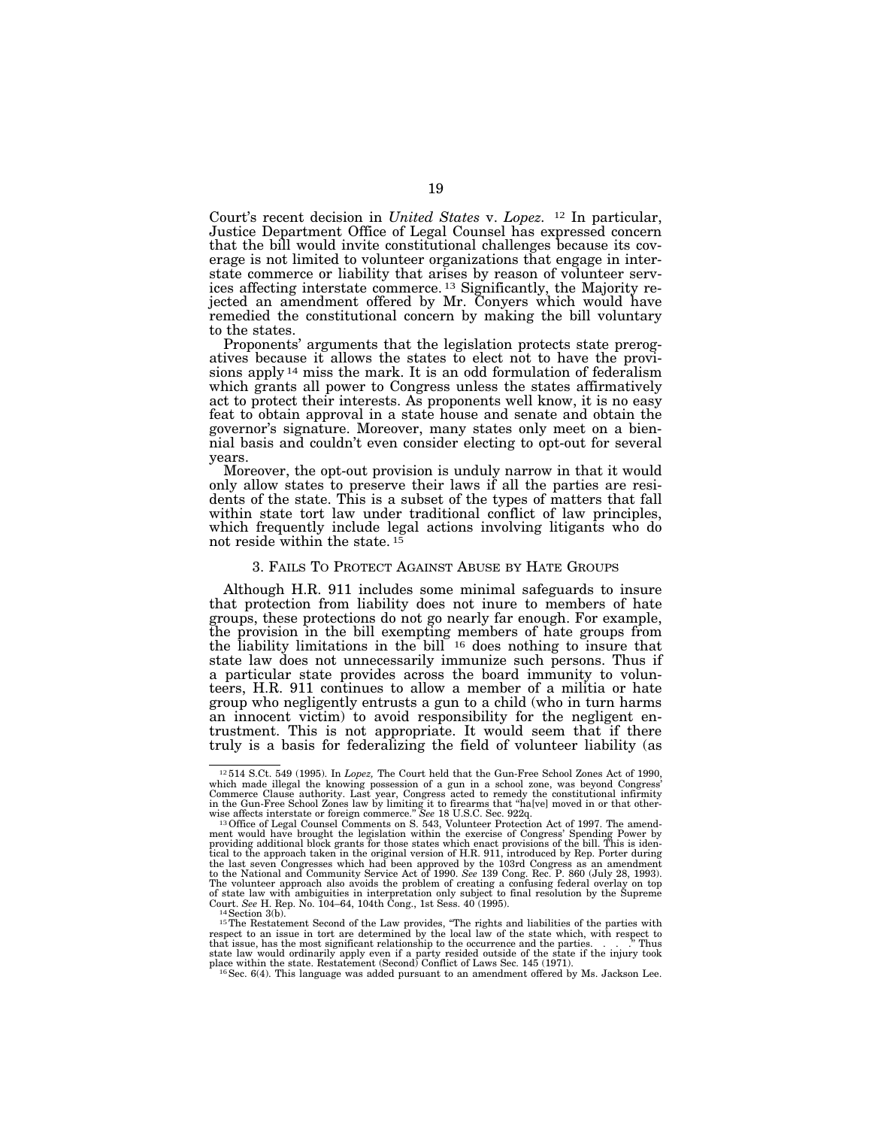Court's recent decision in *United States* v. *Lopez.* 12 In particular, Justice Department Office of Legal Counsel has expressed concern that the bill would invite constitutional challenges because its coverage is not limited to volunteer organizations that engage in interstate commerce or liability that arises by reason of volunteer services affecting interstate commerce. 13 Significantly, the Majority rejected an amendment offered by Mr. Conyers which would have remedied the constitutional concern by making the bill voluntary to the states.

Proponents' arguments that the legislation protects state prerogatives because it allows the states to elect not to have the provisions apply <sup>14</sup> miss the mark. It is an odd formulation of federalism which grants all power to Congress unless the states affirmatively act to protect their interests. As proponents well know, it is no easy feat to obtain approval in a state house and senate and obtain the governor's signature. Moreover, many states only meet on a biennial basis and couldn't even consider electing to opt-out for several years.

Moreover, the opt-out provision is unduly narrow in that it would only allow states to preserve their laws if all the parties are residents of the state. This is a subset of the types of matters that fall within state tort law under traditional conflict of law principles, which frequently include legal actions involving litigants who do not reside within the state. 15

#### 3. FAILS TO PROTECT AGAINST ABUSE BY HATE GROUPS

Although H.R. 911 includes some minimal safeguards to insure that protection from liability does not inure to members of hate groups, these protections do not go nearly far enough. For example, the provision in the bill exempting members of hate groups from the liability limitations in the bill 16 does nothing to insure that state law does not unnecessarily immunize such persons. Thus if a particular state provides across the board immunity to volunteers, H.R. 911 continues to allow a member of a militia or hate group who negligently entrusts a gun to a child (who in turn harms an innocent victim) to avoid responsibility for the negligent entrustment. This is not appropriate. It would seem that if there truly is a basis for federalizing the field of volunteer liability (as

<sup>12</sup> 514 S.Ct. 549 (1995). In *Lopez,* The Court held that the Gun-Free School Zones Act of 1990, which made illegal the knowing possession of a gun in a school zone, was beyond Congress'<br>Commerce Clause authority. Last year, Congress acted to remedy the constitutional infirmity<br>in the Gun-Free School Zones law by limi

tical to the approach taken in the original version of H.R. 911, introduced by Rep. Porter during the last seven Congresses which had been approved by the 103rd Congress as an amendment<br>to the National and Community Service Act of 1990. See 139 Cong. Rec. P. 860 (July 28, 1993).<br>The volunteer approach also avoids the

respect to an issue in tort are determined by the local law of the state which, with respect to that issue, has the most significant relationship to the occurrence and the parties. . . .'' Thus state law would ordinarily apply even if a party resided outside of the state if the injury took<br>place within the state. Restatement (Second) Conflict of Laws Sec. 145 (1971).

 $16$  Sec. 6(4). This language was added pursuant to an amendment offered by Ms. Jackson Lee.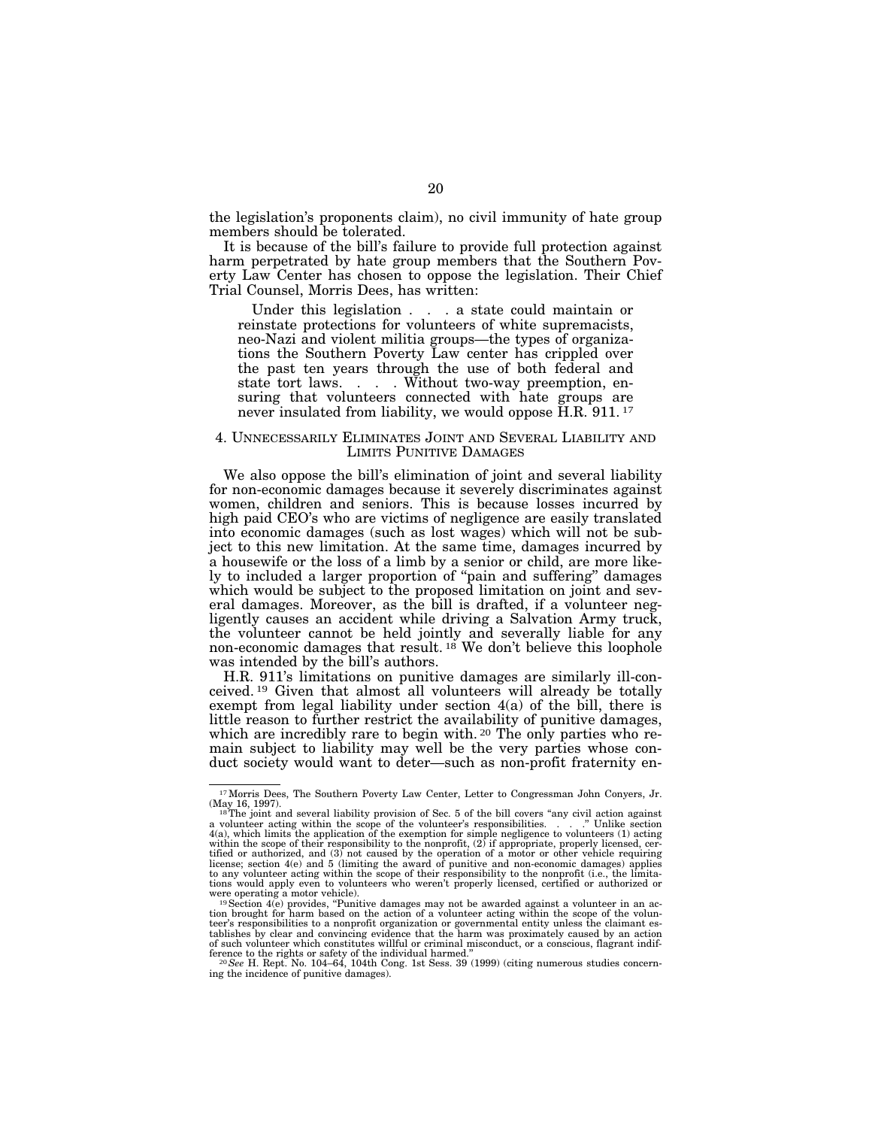the legislation's proponents claim), no civil immunity of hate group members should be tolerated.

It is because of the bill's failure to provide full protection against harm perpetrated by hate group members that the Southern Poverty Law Center has chosen to oppose the legislation. Their Chief Trial Counsel, Morris Dees, has written:

Under this legislation . . . a state could maintain or reinstate protections for volunteers of white supremacists, neo-Nazi and violent militia groups—the types of organizations the Southern Poverty Law center has crippled over the past ten years through the use of both federal and state tort laws. . . . Without two-way preemption, ensuring that volunteers connected with hate groups are never insulated from liability, we would oppose H.R. 911. 17

### 4. UNNECESSARILY ELIMINATES JOINT AND SEVERAL LIABILITY AND LIMITS PUNITIVE DAMAGES

We also oppose the bill's elimination of joint and several liability for non-economic damages because it severely discriminates against women, children and seniors. This is because losses incurred by high paid CEO's who are victims of negligence are easily translated into economic damages (such as lost wages) which will not be subject to this new limitation. At the same time, damages incurred by a housewife or the loss of a limb by a senior or child, are more likely to included a larger proportion of ''pain and suffering'' damages which would be subject to the proposed limitation on joint and several damages. Moreover, as the bill is drafted, if a volunteer negligently causes an accident while driving a Salvation Army truck, the volunteer cannot be held jointly and severally liable for any non-economic damages that result.<sup>18</sup> We don't believe this loophole was intended by the bill's authors.

H.R. 911's limitations on punitive damages are similarly ill-conceived. 19 Given that almost all volunteers will already be totally exempt from legal liability under section 4(a) of the bill, there is little reason to further restrict the availability of punitive damages, which are incredibly rare to begin with. 20 The only parties who remain subject to liability may well be the very parties whose conduct society would want to deter—such as non-profit fraternity en-

<sup>17</sup>Morris Dees, The Southern Poverty Law Center, Letter to Congressman John Conyers, Jr. (May 16, 1997).<br><sup>18</sup>The joint and several liability provision of Sec. 5 of the bill covers "any civil action against"

a volunteer acting within the scope of the volunteer's responsibilities. . . . " Unlike section 4(a), which limits the application of the exemption for simple negligence to volunteers (1) acting within the scope of their r

were operating a motor vehicle).<br><sup>19</sup>Section 4(e) provides, ''Punitive damages may not be awarded against a volunteer in an ac-<br>tion brought for harm based on the action of a volunteer acting within the scope of the volunteer's responsibilities to a nonprofit organization or governmental entity unless the claimant es-<br>tablishes by clear and convincing evidence that the harm was proximately caused by an action<br>of such volunteer which consti ference to the rights or safety of the individual harmed.'' 20*See* H. Rept. No. 104–64, 104th Cong. 1st Sess. 39 (1999) (citing numerous studies concern-

ing the incidence of punitive damages).